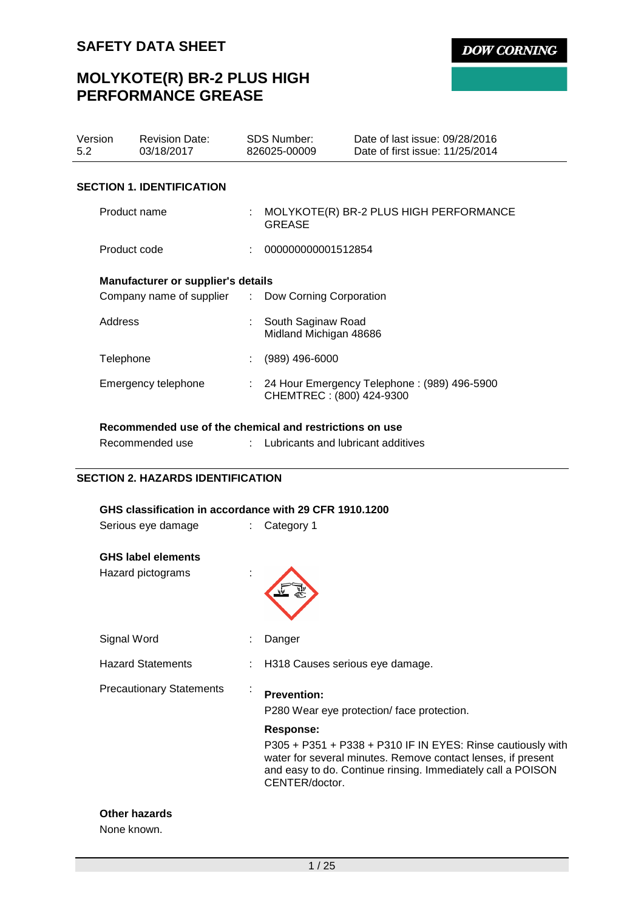# **MOLYKOTE(R) BR-2 PLUS HIGH PERFORMANCE GREASE**

| Version<br>5.2                   |                                                    | <b>Revision Date:</b><br>03/18/2017                     |    | SDS Number:<br>826025-00009                             | Date of last issue: 09/28/2016<br>Date of first issue: 11/25/2014 |  |  |
|----------------------------------|----------------------------------------------------|---------------------------------------------------------|----|---------------------------------------------------------|-------------------------------------------------------------------|--|--|
| <b>SECTION 1. IDENTIFICATION</b> |                                                    |                                                         |    |                                                         |                                                                   |  |  |
|                                  | Product name                                       |                                                         |    | MOLYKOTE(R) BR-2 PLUS HIGH PERFORMANCE<br><b>GREASE</b> |                                                                   |  |  |
|                                  | Product code                                       |                                                         |    | 000000000001512854                                      |                                                                   |  |  |
|                                  | <b>Manufacturer or supplier's details</b>          |                                                         |    |                                                         |                                                                   |  |  |
|                                  | Company name of supplier : Dow Corning Corporation |                                                         |    |                                                         |                                                                   |  |  |
|                                  | Address                                            |                                                         |    | South Saginaw Road<br>Midland Michigan 48686            |                                                                   |  |  |
|                                  | Telephone                                          |                                                         | ÷. | $(989)$ 496-6000                                        |                                                                   |  |  |
|                                  |                                                    | Emergency telephone                                     |    | CHEMTREC: (800) 424-9300                                | 24 Hour Emergency Telephone: (989) 496-5900                       |  |  |
|                                  |                                                    | Recommended use of the chemical and restrictions on use |    |                                                         |                                                                   |  |  |

Recommended use **:** Lubricants and lubricant additives

## **SECTION 2. HAZARDS IDENTIFICATION**

| GHS classification in accordance with 29 CFR 1910.1200 |    |                                                                                                                                                                                                                                                                                                     |  |  |
|--------------------------------------------------------|----|-----------------------------------------------------------------------------------------------------------------------------------------------------------------------------------------------------------------------------------------------------------------------------------------------------|--|--|
| Serious eye damage                                     | t. | Category 1                                                                                                                                                                                                                                                                                          |  |  |
| <b>GHS label elements</b><br>Hazard pictograms         | ÷  |                                                                                                                                                                                                                                                                                                     |  |  |
| Signal Word                                            |    | Danger                                                                                                                                                                                                                                                                                              |  |  |
| <b>Hazard Statements</b>                               |    | H318 Causes serious eye damage.                                                                                                                                                                                                                                                                     |  |  |
| <b>Precautionary Statements</b>                        |    | <b>Prevention:</b><br>P280 Wear eye protection/face protection.<br><b>Response:</b><br>P305 + P351 + P338 + P310 IF IN EYES: Rinse cautiously with<br>water for several minutes. Remove contact lenses, if present<br>and easy to do. Continue rinsing. Immediately call a POISON<br>CENTER/doctor. |  |  |

# **Other hazards**

None known.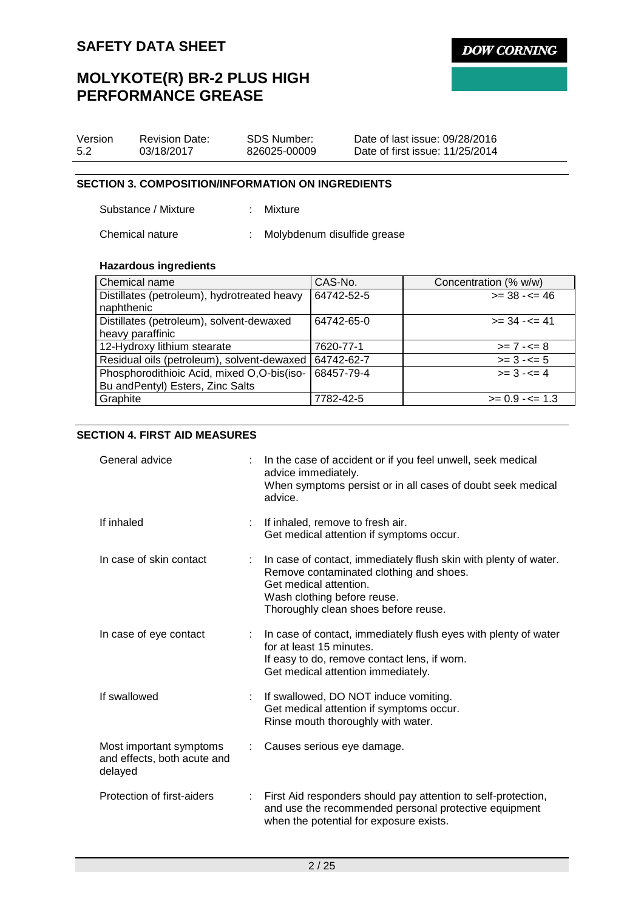# **MOLYKOTE(R) BR-2 PLUS HIGH PERFORMANCE GREASE**

| Version | <b>Revision Date:</b> | SDS Number:  | Date of last issue: 09/28/2016  |
|---------|-----------------------|--------------|---------------------------------|
| 5.2     | 03/18/2017            | 826025-00009 | Date of first issue: 11/25/2014 |

## **SECTION 3. COMPOSITION/INFORMATION ON INGREDIENTS**

Substance / Mixture : Mixture

Chemical nature : Molybdenum disulfide grease

## **Hazardous ingredients**

| Chemical name                               | CAS-No.    | Concentration (% w/w) |
|---------------------------------------------|------------|-----------------------|
| Distillates (petroleum), hydrotreated heavy | 64742-52-5 | $>=$ 38 - $<=$ 46     |
| naphthenic                                  |            |                       |
| Distillates (petroleum), solvent-dewaxed    | 64742-65-0 | $>= 34 - 5 = 41$      |
| heavy paraffinic                            |            |                       |
| 12-Hydroxy lithium stearate                 | 7620-77-1  | $>= 7 - 5 = 8$        |
| Residual oils (petroleum), solvent-dewaxed  | 64742-62-7 | $>= 3 - 5$            |
| Phosphorodithioic Acid, mixed O,O-bis(iso-  | 68457-79-4 | $>= 3 - 5 = 4$        |
| Bu and Pentyl) Esters, Zinc Salts           |            |                       |
| Graphite                                    | 7782-42-5  | $>= 0.9 - \le 1.3$    |

## **SECTION 4. FIRST AID MEASURES**

| General advice                                                    |   | In the case of accident or if you feel unwell, seek medical<br>advice immediately.<br>When symptoms persist or in all cases of doubt seek medical<br>advice.                                                 |
|-------------------------------------------------------------------|---|--------------------------------------------------------------------------------------------------------------------------------------------------------------------------------------------------------------|
| If inhaled                                                        | ÷ | If inhaled, remove to fresh air.<br>Get medical attention if symptoms occur.                                                                                                                                 |
| In case of skin contact                                           |   | In case of contact, immediately flush skin with plenty of water.<br>Remove contaminated clothing and shoes.<br>Get medical attention.<br>Wash clothing before reuse.<br>Thoroughly clean shoes before reuse. |
| In case of eye contact                                            |   | In case of contact, immediately flush eyes with plenty of water<br>for at least 15 minutes.<br>If easy to do, remove contact lens, if worn.<br>Get medical attention immediately.                            |
| If swallowed                                                      |   | If swallowed, DO NOT induce vomiting.<br>Get medical attention if symptoms occur.<br>Rinse mouth thoroughly with water.                                                                                      |
| Most important symptoms<br>and effects, both acute and<br>delayed |   | Causes serious eye damage.                                                                                                                                                                                   |
| Protection of first-aiders                                        |   | First Aid responders should pay attention to self-protection,<br>and use the recommended personal protective equipment<br>when the potential for exposure exists.                                            |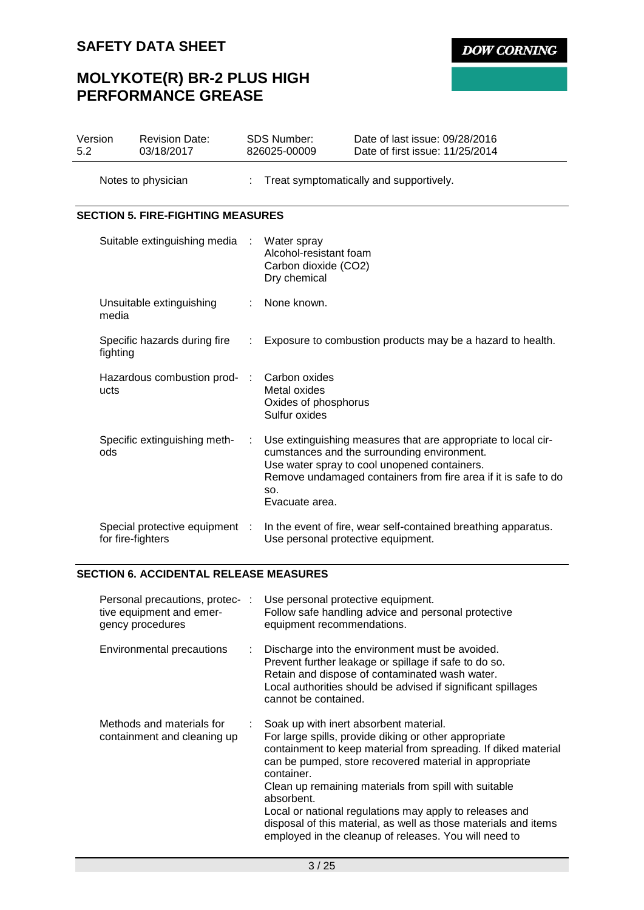# **MOLYKOTE(R) BR-2 PLUS HIGH PERFORMANCE GREASE**

| Version<br>5.2 | <b>Revision Date:</b><br>03/18/2017               |           | <b>SDS Number:</b><br>826025-00009                                            | Date of last issue: 09/28/2016<br>Date of first issue: 11/25/2014                                                                                                                                                              |
|----------------|---------------------------------------------------|-----------|-------------------------------------------------------------------------------|--------------------------------------------------------------------------------------------------------------------------------------------------------------------------------------------------------------------------------|
|                | Notes to physician                                |           |                                                                               | Treat symptomatically and supportively.                                                                                                                                                                                        |
|                | <b>SECTION 5. FIRE-FIGHTING MEASURES</b>          |           |                                                                               |                                                                                                                                                                                                                                |
|                | Suitable extinguishing media                      | $\sim$ 1. | Water spray<br>Alcohol-resistant foam<br>Carbon dioxide (CO2)<br>Dry chemical |                                                                                                                                                                                                                                |
|                | Unsuitable extinguishing<br>media                 |           | None known.                                                                   |                                                                                                                                                                                                                                |
|                | Specific hazards during fire<br>fighting          | ÷.        |                                                                               | Exposure to combustion products may be a hazard to health.                                                                                                                                                                     |
|                | Hazardous combustion prod-<br>ucts                | ÷         | Carbon oxides<br>Metal oxides<br>Oxides of phosphorus<br>Sulfur oxides        |                                                                                                                                                                                                                                |
|                | Specific extinguishing meth-<br>ods               |           | SO.<br>Evacuate area.                                                         | Use extinguishing measures that are appropriate to local cir-<br>cumstances and the surrounding environment.<br>Use water spray to cool unopened containers.<br>Remove undamaged containers from fire area if it is safe to do |
|                | Special protective equipment<br>for fire-fighters |           | Use personal protective equipment.                                            | In the event of fire, wear self-contained breathing apparatus.                                                                                                                                                                 |

## **SECTION 6. ACCIDENTAL RELEASE MEASURES**

| Personal precautions, protec-:<br>tive equipment and emer-<br>gency procedures |    | Use personal protective equipment.<br>Follow safe handling advice and personal protective<br>equipment recommendations.                                                                                                                                                                                                                                                                                                                                                                                 |
|--------------------------------------------------------------------------------|----|---------------------------------------------------------------------------------------------------------------------------------------------------------------------------------------------------------------------------------------------------------------------------------------------------------------------------------------------------------------------------------------------------------------------------------------------------------------------------------------------------------|
| Environmental precautions                                                      | t. | Discharge into the environment must be avoided.<br>Prevent further leakage or spillage if safe to do so.<br>Retain and dispose of contaminated wash water.<br>Local authorities should be advised if significant spillages<br>cannot be contained.                                                                                                                                                                                                                                                      |
| Methods and materials for<br>containment and cleaning up                       |    | Soak up with inert absorbent material.<br>For large spills, provide diking or other appropriate<br>containment to keep material from spreading. If diked material<br>can be pumped, store recovered material in appropriate<br>container.<br>Clean up remaining materials from spill with suitable<br>absorbent.<br>Local or national regulations may apply to releases and<br>disposal of this material, as well as those materials and items<br>employed in the cleanup of releases. You will need to |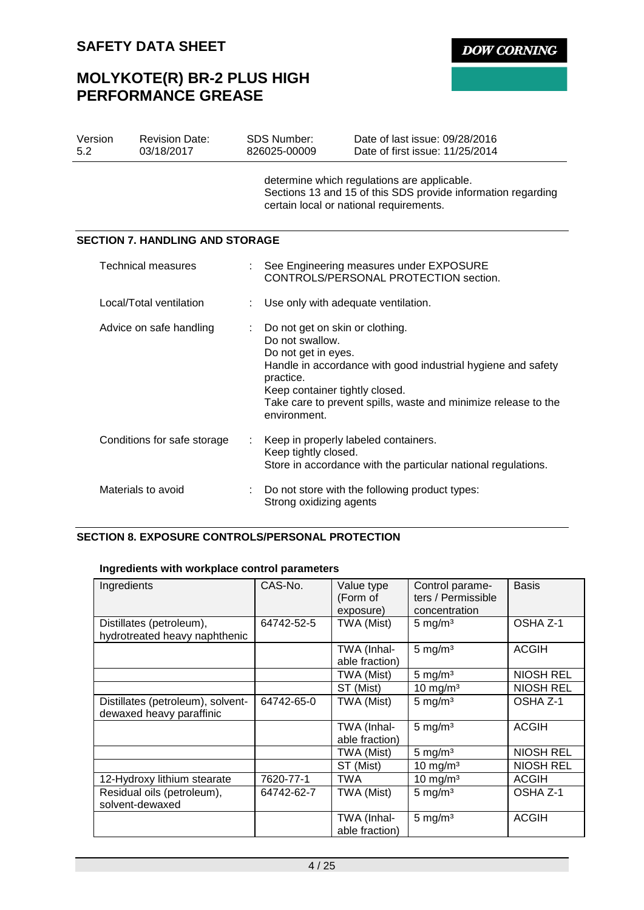# **MOLYKOTE(R) BR-2 PLUS HIGH PERFORMANCE GREASE**

**DOW CORNING** 

| Version<br>5.2          | <b>Revision Date:</b><br>03/18/2017    | <b>SDS Number:</b><br>826025-00009                                                                                                       | Date of last issue: 09/28/2016<br>Date of first issue: 11/25/2014                                                                                      |
|-------------------------|----------------------------------------|------------------------------------------------------------------------------------------------------------------------------------------|--------------------------------------------------------------------------------------------------------------------------------------------------------|
|                         |                                        |                                                                                                                                          | determine which regulations are applicable.<br>Sections 13 and 15 of this SDS provide information regarding<br>certain local or national requirements. |
|                         | <b>SECTION 7. HANDLING AND STORAGE</b> |                                                                                                                                          |                                                                                                                                                        |
|                         | <b>Technical measures</b>              |                                                                                                                                          | : See Engineering measures under EXPOSURE<br>CONTROLS/PERSONAL PROTECTION section.                                                                     |
| Local/Total ventilation |                                        | Use only with adequate ventilation.                                                                                                      |                                                                                                                                                        |
|                         | Advice on safe handling                | Do not get on skin or clothing.<br>Do not swallow.<br>Do not get in eyes.<br>practice.<br>Keep container tightly closed.<br>environment. | Handle in accordance with good industrial hygiene and safety<br>Take care to prevent spills, waste and minimize release to the                         |
|                         | Conditions for safe storage            | Keep tightly closed.                                                                                                                     | Keep in properly labeled containers.<br>Store in accordance with the particular national regulations.                                                  |
|                         | Materials to avoid                     | Strong oxidizing agents                                                                                                                  | Do not store with the following product types:                                                                                                         |

## **SECTION 8. EXPOSURE CONTROLS/PERSONAL PROTECTION**

## **Ingredients with workplace control parameters**

| Ingredients                                                   | CAS-No.    | Value type<br>(Form of<br>exposure) | Control parame-<br>ters / Permissible<br>concentration | <b>Basis</b>     |
|---------------------------------------------------------------|------------|-------------------------------------|--------------------------------------------------------|------------------|
| Distillates (petroleum),<br>hydrotreated heavy naphthenic     | 64742-52-5 | TWA (Mist)                          | $5 \text{ mg/m}^3$                                     | OSHA Z-1         |
|                                                               |            | TWA (Inhal-<br>able fraction)       | $5 \text{ mg/m}^3$                                     | <b>ACGIH</b>     |
|                                                               |            | TWA (Mist)                          | $5 \text{ mg/m}^3$                                     | <b>NIOSH REL</b> |
|                                                               |            | ST (Mist)                           | $10$ mg/m <sup>3</sup>                                 | <b>NIOSH REL</b> |
| Distillates (petroleum), solvent-<br>dewaxed heavy paraffinic | 64742-65-0 | TWA (Mist)                          | $5 \text{ mg/m}^3$                                     | OSHA Z-1         |
|                                                               |            | TWA (Inhal-<br>able fraction)       | 5 mg/m <sup>3</sup>                                    | <b>ACGIH</b>     |
|                                                               |            | TWA (Mist)                          | $5 \text{ mg/m}^3$                                     | <b>NIOSH REL</b> |
|                                                               |            | ST (Mist)                           | 10 mg/m $3$                                            | <b>NIOSH REL</b> |
| 12-Hydroxy lithium stearate                                   | 7620-77-1  | <b>TWA</b>                          | $10$ mg/m <sup>3</sup>                                 | <b>ACGIH</b>     |
| Residual oils (petroleum),<br>solvent-dewaxed                 | 64742-62-7 | TWA (Mist)                          | $5 \text{ mg/m}^3$                                     | OSHA Z-1         |
|                                                               |            | TWA (Inhal-<br>able fraction)       | $5 \text{ mg/m}^3$                                     | <b>ACGIH</b>     |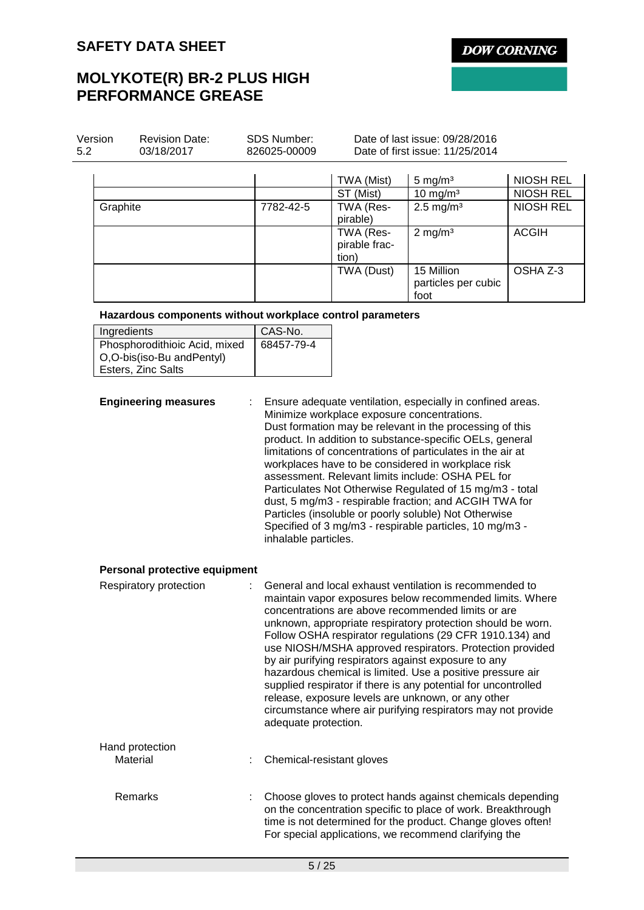**DOW CORNING** 

# **MOLYKOTE(R) BR-2 PLUS HIGH PERFORMANCE GREASE**

| Version<br>5.2 | <b>Revision Date:</b><br>03/18/2017 | <b>SDS Number:</b><br>826025-00009 | Date of last issue: 09/28/2016<br>Date of first issue: 11/25/2014 |                                           |                  |  |
|----------------|-------------------------------------|------------------------------------|-------------------------------------------------------------------|-------------------------------------------|------------------|--|
|                |                                     |                                    | TWA (Mist)                                                        | 5 mg/ $m3$                                | <b>NIOSH REL</b> |  |
|                |                                     |                                    | ST (Mist)                                                         | $10 \text{ mg/m}^3$                       | <b>NIOSH REL</b> |  |
| Graphite       |                                     | 7782-42-5                          | TWA (Res-<br>pirable)                                             | $2.5 \text{ mg/m}^3$                      | NIOSH REL        |  |
|                |                                     |                                    | TWA (Res-<br>pirable frac-<br>tion)                               | $2 \text{ mg/m}^3$                        | <b>ACGIH</b>     |  |
|                |                                     |                                    | TWA (Dust)                                                        | 15 Million<br>particles per cubic<br>foot | OSHA Z-3         |  |

## **Hazardous components without workplace control parameters**

| Ingredients                   | CAS-No.    |
|-------------------------------|------------|
| Phosphorodithioic Acid, mixed | 68457-79-4 |
| O,O-bis(iso-Bu andPentyl)     |            |
| Esters, Zinc Salts            |            |

**Engineering measures** : Ensure adequate ventilation, especially in confined areas. Minimize workplace exposure concentrations. Dust formation may be relevant in the processing of this product. In addition to substance-specific OELs, general limitations of concentrations of particulates in the air at workplaces have to be considered in workplace risk assessment. Relevant limits include: OSHA PEL for Particulates Not Otherwise Regulated of 15 mg/m3 - total dust, 5 mg/m3 - respirable fraction; and ACGIH TWA for Particles (insoluble or poorly soluble) Not Otherwise Specified of 3 mg/m3 - respirable particles, 10 mg/m3 inhalable particles.

## **Personal protective equipment**

| Respiratory protection      | General and local exhaust ventilation is recommended to<br>maintain vapor exposures below recommended limits. Where<br>concentrations are above recommended limits or are<br>unknown, appropriate respiratory protection should be worn.<br>Follow OSHA respirator regulations (29 CFR 1910.134) and<br>use NIOSH/MSHA approved respirators. Protection provided<br>by air purifying respirators against exposure to any<br>hazardous chemical is limited. Use a positive pressure air<br>supplied respirator if there is any potential for uncontrolled<br>release, exposure levels are unknown, or any other<br>circumstance where air purifying respirators may not provide<br>adequate protection. |
|-----------------------------|--------------------------------------------------------------------------------------------------------------------------------------------------------------------------------------------------------------------------------------------------------------------------------------------------------------------------------------------------------------------------------------------------------------------------------------------------------------------------------------------------------------------------------------------------------------------------------------------------------------------------------------------------------------------------------------------------------|
| Hand protection<br>Material | Chemical-resistant gloves                                                                                                                                                                                                                                                                                                                                                                                                                                                                                                                                                                                                                                                                              |
| Remarks                     | Choose gloves to protect hands against chemicals depending<br>on the concentration specific to place of work. Breakthrough<br>time is not determined for the product. Change gloves often!<br>For special applications, we recommend clarifying the                                                                                                                                                                                                                                                                                                                                                                                                                                                    |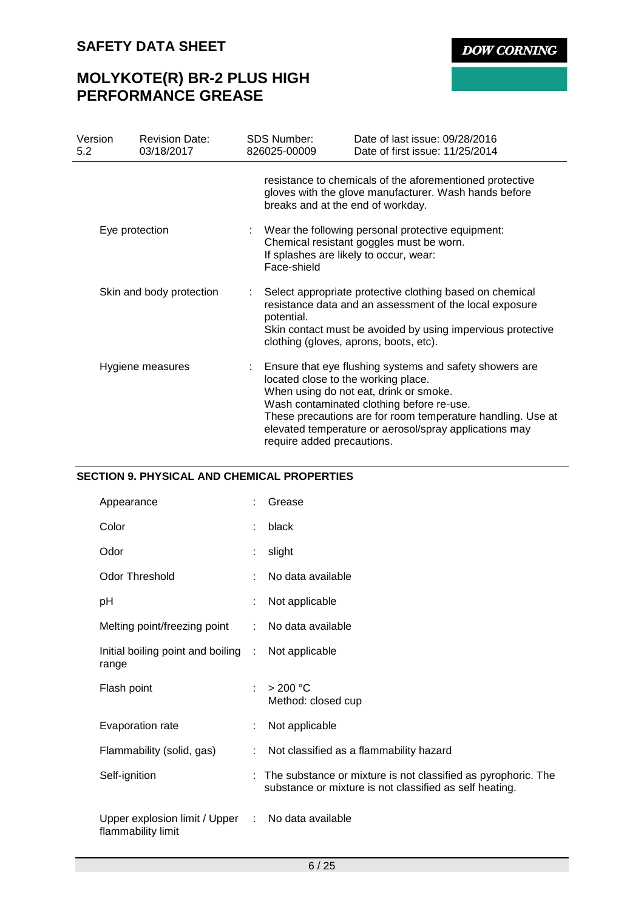# **MOLYKOTE(R) BR-2 PLUS HIGH PERFORMANCE GREASE**

| Version<br>5.2 | <b>Revision Date:</b><br>03/18/2017 | <b>SDS Number:</b><br>826025-00009 | Date of last issue: 09/28/2016<br>Date of first issue: 11/25/2014                                                                                                                                                                                                                                              |
|----------------|-------------------------------------|------------------------------------|----------------------------------------------------------------------------------------------------------------------------------------------------------------------------------------------------------------------------------------------------------------------------------------------------------------|
|                |                                     |                                    | resistance to chemicals of the aforementioned protective<br>gloves with the glove manufacturer. Wash hands before<br>breaks and at the end of workday.                                                                                                                                                         |
|                | Eye protection                      | Face-shield                        | Wear the following personal protective equipment:<br>Chemical resistant goggles must be worn.<br>If splashes are likely to occur, wear:                                                                                                                                                                        |
|                | Skin and body protection            | potential.                         | Select appropriate protective clothing based on chemical<br>resistance data and an assessment of the local exposure<br>Skin contact must be avoided by using impervious protective<br>clothing (gloves, aprons, boots, etc).                                                                                   |
|                | Hygiene measures                    | require added precautions.         | Ensure that eye flushing systems and safety showers are<br>located close to the working place.<br>When using do not eat, drink or smoke.<br>Wash contaminated clothing before re-use.<br>These precautions are for room temperature handling. Use at<br>elevated temperature or aerosol/spray applications may |

## **SECTION 9. PHYSICAL AND CHEMICAL PROPERTIES**

| Appearance                                            |   | Grease                                                                                                                   |
|-------------------------------------------------------|---|--------------------------------------------------------------------------------------------------------------------------|
| Color                                                 | ÷ | black                                                                                                                    |
| Odor                                                  |   | slight                                                                                                                   |
| <b>Odor Threshold</b>                                 |   | No data available                                                                                                        |
| рH                                                    |   | Not applicable                                                                                                           |
| Melting point/freezing point                          |   | No data available                                                                                                        |
| Initial boiling point and boiling :<br>range          |   | Not applicable                                                                                                           |
| Flash point                                           | ÷ | >200 °C<br>Method: closed cup                                                                                            |
| Evaporation rate                                      |   | Not applicable                                                                                                           |
| Flammability (solid, gas)                             | ÷ | Not classified as a flammability hazard                                                                                  |
| Self-ignition                                         | ÷ | The substance or mixture is not classified as pyrophoric. The<br>substance or mixture is not classified as self heating. |
| Upper explosion limit / Upper :<br>flammability limit |   | No data available                                                                                                        |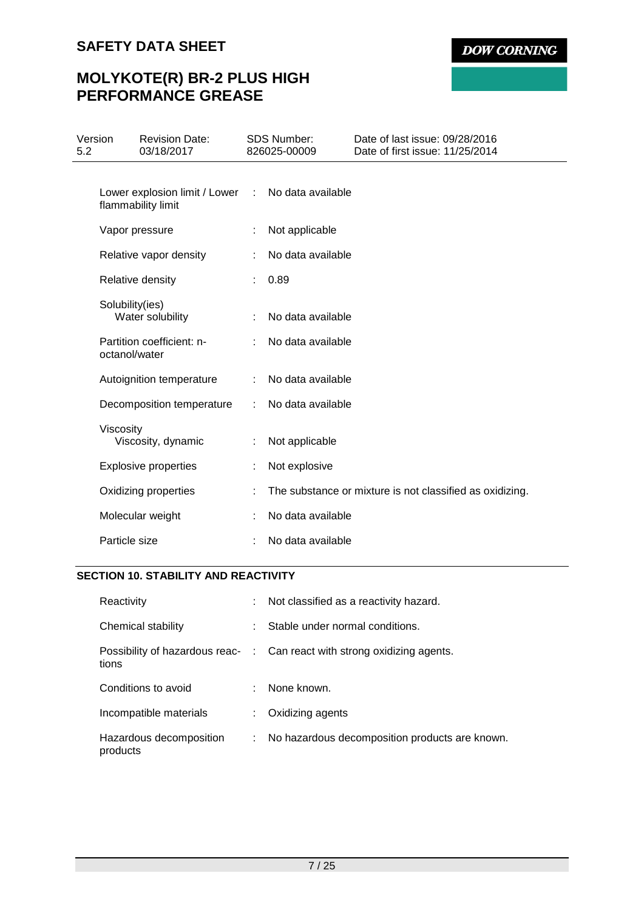# **MOLYKOTE(R) BR-2 PLUS HIGH PERFORMANCE GREASE**

| Version<br>5.2 |                 | <b>Revision Date:</b><br>03/18/2017                 |               | <b>SDS Number:</b><br>826025-00009 | Date of last issue: 09/28/2016<br>Date of first issue: 11/25/2014 |
|----------------|-----------------|-----------------------------------------------------|---------------|------------------------------------|-------------------------------------------------------------------|
|                |                 | Lower explosion limit / Lower<br>flammability limit | $\mathcal{L}$ | No data available                  |                                                                   |
|                |                 | Vapor pressure                                      | ÷             | Not applicable                     |                                                                   |
|                |                 | Relative vapor density                              | ÷             | No data available                  |                                                                   |
|                |                 | Relative density                                    |               | 0.89                               |                                                                   |
|                | Solubility(ies) | Water solubility                                    |               | No data available                  |                                                                   |
|                | octanol/water   | Partition coefficient: n-                           |               | No data available                  |                                                                   |
|                |                 | Autoignition temperature                            |               | No data available                  |                                                                   |
|                |                 | Decomposition temperature                           |               | No data available                  |                                                                   |
|                | Viscosity       | Viscosity, dynamic                                  |               | Not applicable                     |                                                                   |
|                |                 | <b>Explosive properties</b>                         |               | Not explosive                      |                                                                   |
|                |                 | Oxidizing properties                                | ÷             |                                    | The substance or mixture is not classified as oxidizing.          |
|                |                 | Molecular weight                                    |               | No data available                  |                                                                   |
|                | Particle size   |                                                     |               | No data available                  |                                                                   |

## **SECTION 10. STABILITY AND REACTIVITY**

| Reactivity                          | ٠  | Not classified as a reactivity hazard.                                   |
|-------------------------------------|----|--------------------------------------------------------------------------|
| Chemical stability                  | ٠  | Stable under normal conditions.                                          |
| tions                               |    | Possibility of hazardous reac- : Can react with strong oxidizing agents. |
| Conditions to avoid                 | ٠  | None known.                                                              |
| Incompatible materials              | ÷. | Oxidizing agents                                                         |
| Hazardous decomposition<br>products | ÷. | No hazardous decomposition products are known.                           |

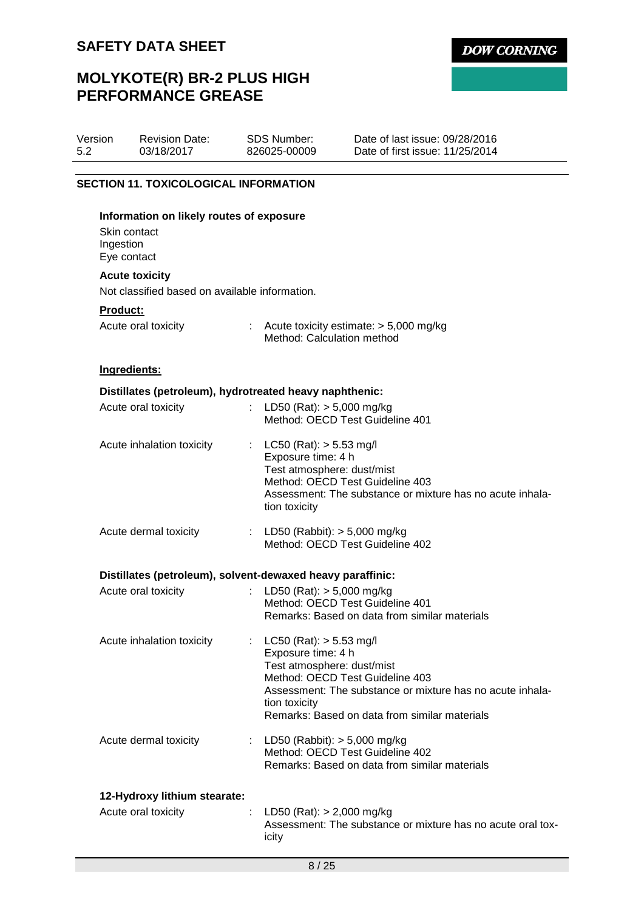Version 5.2

# **MOLYKOTE(R) BR-2 PLUS HIGH PERFORMANCE GREASE**

SDS Number: 826025-00009

Revision Date: 03/18/2017

| <b>SECTION 11. TOXICOLOGICAL INFORMATION</b>                                         |                                                                                                                                                                                                                                                   |  |
|--------------------------------------------------------------------------------------|---------------------------------------------------------------------------------------------------------------------------------------------------------------------------------------------------------------------------------------------------|--|
| Information on likely routes of exposure<br>Skin contact<br>Ingestion<br>Eye contact |                                                                                                                                                                                                                                                   |  |
| <b>Acute toxicity</b>                                                                |                                                                                                                                                                                                                                                   |  |
| Not classified based on available information.                                       |                                                                                                                                                                                                                                                   |  |
| Product:<br>Acute oral toxicity                                                      | : Acute toxicity estimate: $> 5,000$ mg/kg<br>Method: Calculation method                                                                                                                                                                          |  |
| Ingredients:                                                                         |                                                                                                                                                                                                                                                   |  |
|                                                                                      | Distillates (petroleum), hydrotreated heavy naphthenic:                                                                                                                                                                                           |  |
| Acute oral toxicity                                                                  | LD50 (Rat): $> 5,000$ mg/kg<br>Method: OECD Test Guideline 401                                                                                                                                                                                    |  |
| Acute inhalation toxicity                                                            | LC50 (Rat): $> 5.53$ mg/l<br>t,<br>Exposure time: 4 h<br>Test atmosphere: dust/mist<br>Method: OECD Test Guideline 403<br>Assessment: The substance or mixture has no acute inhala-<br>tion toxicity                                              |  |
| Acute dermal toxicity                                                                | LD50 (Rabbit): $> 5,000$ mg/kg<br>Method: OECD Test Guideline 402                                                                                                                                                                                 |  |
|                                                                                      | Distillates (petroleum), solvent-dewaxed heavy paraffinic:                                                                                                                                                                                        |  |
| Acute oral toxicity                                                                  | LD50 (Rat): > 5,000 mg/kg<br>Method: OECD Test Guideline 401<br>Remarks: Based on data from similar materials                                                                                                                                     |  |
| Acute inhalation toxicity                                                            | : LC50 (Rat): $> 5.53$ mg/l<br>Exposure time: 4 h<br>Test atmosphere: dust/mist<br>Method: OECD Test Guideline 403<br>Assessment: The substance or mixture has no acute inhala-<br>tion toxicity<br>Remarks: Based on data from similar materials |  |

| Acute dermal toxicity | : LD50 (Rabbit): $> 5,000$ mg/kg              |
|-----------------------|-----------------------------------------------|
|                       | Method: OECD Test Guideline 402               |
|                       | Remarks: Based on data from similar materials |

## **12-Hydroxy lithium stearate:**

| Acute oral toxicity | : LD50 (Rat): $> 2,000$ mg/kg                               |
|---------------------|-------------------------------------------------------------|
|                     | Assessment: The substance or mixture has no acute oral tox- |
|                     | icity                                                       |

**DOW CORNING** 

Date of last issue: 09/28/2016 Date of first issue: 11/25/2014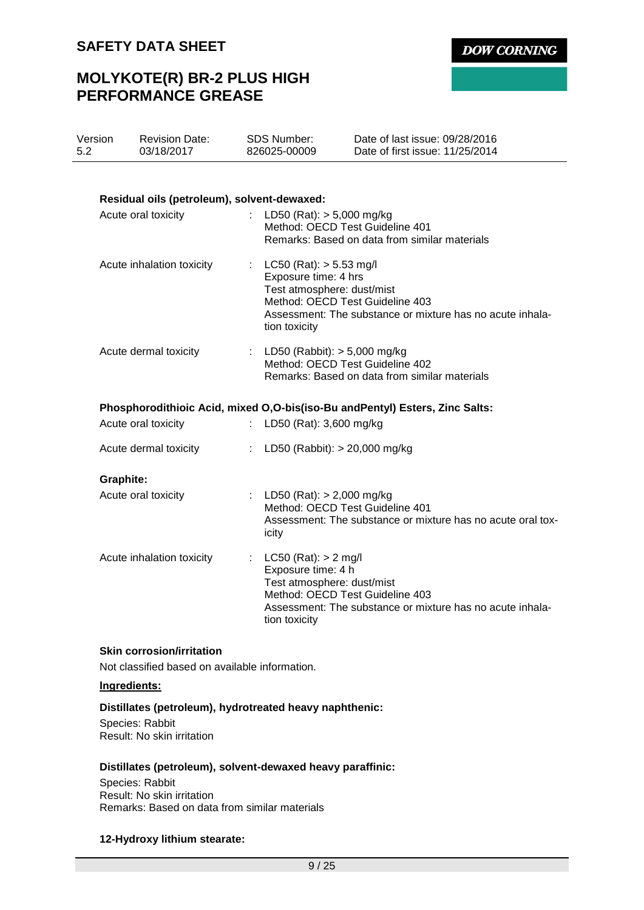# **MOLYKOTE(R) BR-2 PLUS HIGH PERFORMANCE GREASE**

| Version<br>5.2 |                  | <b>Revision Date:</b><br>03/18/2017         | SDS Number:<br>826025-00009                                                                                                           | Date of last issue: 09/28/2016<br>Date of first issue: 11/25/2014             |
|----------------|------------------|---------------------------------------------|---------------------------------------------------------------------------------------------------------------------------------------|-------------------------------------------------------------------------------|
|                |                  | Residual oils (petroleum), solvent-dewaxed: |                                                                                                                                       |                                                                               |
|                |                  | Acute oral toxicity                         | : LD50 (Rat): $>$ 5,000 mg/kg<br>Method: OECD Test Guideline 401                                                                      | Remarks: Based on data from similar materials                                 |
|                |                  | Acute inhalation toxicity                   | : LC50 (Rat): $> 5.53$ mg/l<br>Exposure time: 4 hrs<br>Test atmosphere: dust/mist<br>Method: OECD Test Guideline 403<br>tion toxicity | Assessment: The substance or mixture has no acute inhala-                     |
|                |                  | Acute dermal toxicity                       | : LD50 (Rabbit): $> 5,000$ mg/kg<br>Method: OECD Test Guideline 402                                                                   | Remarks: Based on data from similar materials                                 |
|                |                  |                                             |                                                                                                                                       | Phosphorodithioic Acid, mixed O, O-bis(iso-Bu and Pentyl) Esters, Zinc Salts: |
|                |                  | Acute oral toxicity                         | : LD50 (Rat): 3,600 mg/kg                                                                                                             |                                                                               |
|                |                  | Acute dermal toxicity                       | : LD50 (Rabbit): $> 20,000$ mg/kg                                                                                                     |                                                                               |
|                | <b>Graphite:</b> |                                             |                                                                                                                                       |                                                                               |
|                |                  | Acute oral toxicity                         | : LD50 (Rat): $> 2,000$ mg/kg<br>Method: OECD Test Guideline 401<br>icity                                                             | Assessment: The substance or mixture has no acute oral tox-                   |
|                |                  | Acute inhalation toxicity                   | LC50 (Rat): > 2 mg/l<br>Exposure time: 4 h<br>Test atmosphere: dust/mist<br>Method: OECD Test Guideline 403<br>tion toxicity          | Assessment: The substance or mixture has no acute inhala-                     |

## **Skin corrosion/irritation**

Not classified based on available information.

## **Ingredients:**

## **Distillates (petroleum), hydrotreated heavy naphthenic:**

Species: Rabbit Result: No skin irritation

## **Distillates (petroleum), solvent-dewaxed heavy paraffinic:**

Species: Rabbit Result: No skin irritation Remarks: Based on data from similar materials

## **12-Hydroxy lithium stearate:**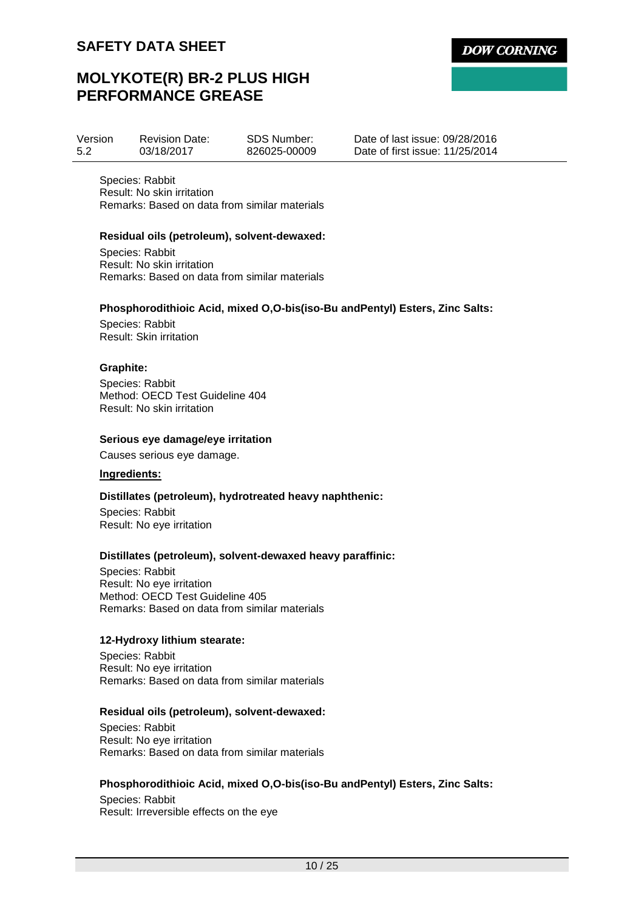# **MOLYKOTE(R) BR-2 PLUS HIGH PERFORMANCE GREASE**

| Version | <b>Revision Date:</b> | <b>SDS Number:</b> |
|---------|-----------------------|--------------------|
| 5.2     | 03/18/2017            | 826025-00009       |

Date of last issue: 09/28/2016 Date of first issue: 11/25/2014

Species: Rabbit Result: No skin irritation Remarks: Based on data from similar materials

## **Residual oils (petroleum), solvent-dewaxed:**

Species: Rabbit Result: No skin irritation Remarks: Based on data from similar materials

## **Phosphorodithioic Acid, mixed O,O-bis(iso-Bu andPentyl) Esters, Zinc Salts:**

Species: Rabbit Result: Skin irritation

## **Graphite:**

Species: Rabbit Method: OECD Test Guideline 404 Result: No skin irritation

## **Serious eye damage/eye irritation**

Causes serious eye damage.

## **Ingredients:**

## **Distillates (petroleum), hydrotreated heavy naphthenic:**

Species: Rabbit Result: No eye irritation

## **Distillates (petroleum), solvent-dewaxed heavy paraffinic:**

Species: Rabbit Result: No eye irritation Method: OECD Test Guideline 405 Remarks: Based on data from similar materials

## **12-Hydroxy lithium stearate:**

Species: Rabbit Result: No eye irritation Remarks: Based on data from similar materials

## **Residual oils (petroleum), solvent-dewaxed:**

Species: Rabbit Result: No eye irritation Remarks: Based on data from similar materials

## **Phosphorodithioic Acid, mixed O,O-bis(iso-Bu andPentyl) Esters, Zinc Salts:**

Species: Rabbit Result: Irreversible effects on the eye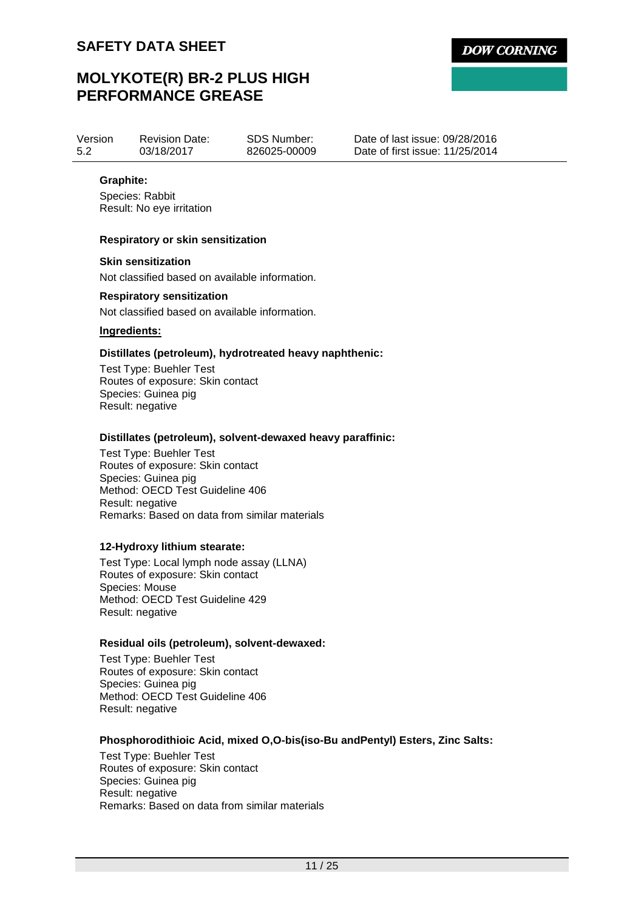# **MOLYKOTE(R) BR-2 PLUS HIGH PERFORMANCE GREASE**

Version 5.2 Revision Date: 03/18/2017

SDS Number: 826025-00009 Date of last issue: 09/28/2016 Date of first issue: 11/25/2014

## **Graphite:**

Species: Rabbit Result: No eye irritation

## **Respiratory or skin sensitization**

### **Skin sensitization**

Not classified based on available information.

## **Respiratory sensitization**

Not classified based on available information.

## **Ingredients:**

## **Distillates (petroleum), hydrotreated heavy naphthenic:**

Test Type: Buehler Test Routes of exposure: Skin contact Species: Guinea pig Result: negative

## **Distillates (petroleum), solvent-dewaxed heavy paraffinic:**

Test Type: Buehler Test Routes of exposure: Skin contact Species: Guinea pig Method: OECD Test Guideline 406 Result: negative Remarks: Based on data from similar materials

## **12-Hydroxy lithium stearate:**

Test Type: Local lymph node assay (LLNA) Routes of exposure: Skin contact Species: Mouse Method: OECD Test Guideline 429 Result: negative

## **Residual oils (petroleum), solvent-dewaxed:**

Test Type: Buehler Test Routes of exposure: Skin contact Species: Guinea pig Method: OECD Test Guideline 406 Result: negative

## **Phosphorodithioic Acid, mixed O,O-bis(iso-Bu andPentyl) Esters, Zinc Salts:**

Test Type: Buehler Test Routes of exposure: Skin contact Species: Guinea pig Result: negative Remarks: Based on data from similar materials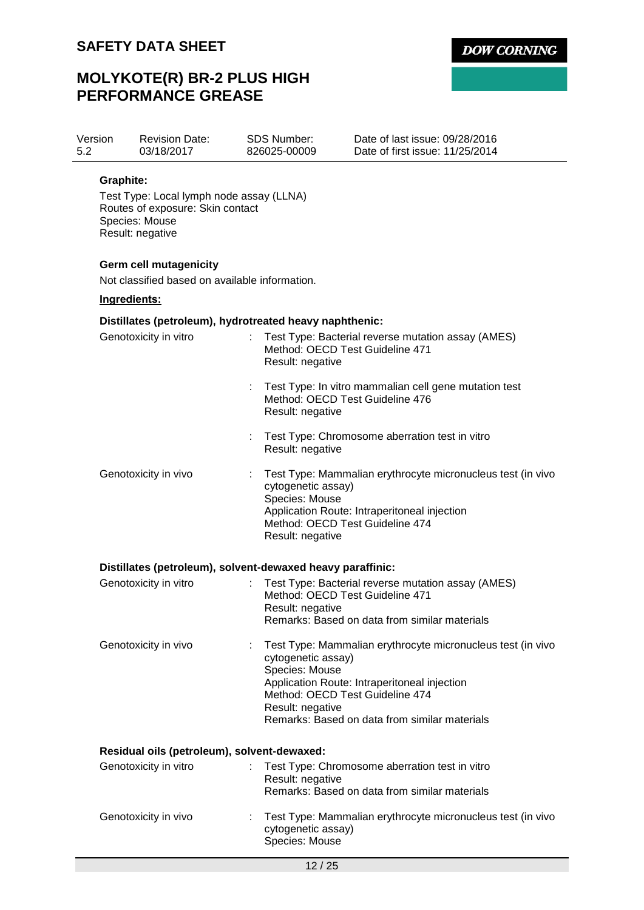# **MOLYKOTE(R) BR-2 PLUS HIGH PERFORMANCE GREASE**

| Version | <b>Revision Date:</b> | SDS Number:  | Date of last issue: 09/28/2016  |
|---------|-----------------------|--------------|---------------------------------|
| 5.2     | 03/18/2017            | 826025-00009 | Date of first issue: 11/25/2014 |

## **Graphite:**

Test Type: Local lymph node assay (LLNA) Routes of exposure: Skin contact Species: Mouse Result: negative

## **Germ cell mutagenicity**

Not classified based on available information.

## **Ingredients:**

## **Distillates (petroleum), hydrotreated heavy naphthenic:**

| Genotoxicity in vitro                                      |   | Test Type: Bacterial reverse mutation assay (AMES)<br>Method: OECD Test Guideline 471<br>Result: negative                                                                                                                                                   |
|------------------------------------------------------------|---|-------------------------------------------------------------------------------------------------------------------------------------------------------------------------------------------------------------------------------------------------------------|
|                                                            |   | Test Type: In vitro mammalian cell gene mutation test<br>Method: OECD Test Guideline 476<br>Result: negative                                                                                                                                                |
|                                                            |   | Test Type: Chromosome aberration test in vitro<br>Result: negative                                                                                                                                                                                          |
| Genotoxicity in vivo                                       | ÷ | Test Type: Mammalian erythrocyte micronucleus test (in vivo<br>cytogenetic assay)<br>Species: Mouse<br>Application Route: Intraperitoneal injection<br>Method: OECD Test Guideline 474<br>Result: negative                                                  |
| Distillates (petroleum), solvent-dewaxed heavy paraffinic: |   |                                                                                                                                                                                                                                                             |
| Genotoxicity in vitro                                      |   | Test Type: Bacterial reverse mutation assay (AMES)<br>Method: OECD Test Guideline 471<br>Result: negative<br>Remarks: Based on data from similar materials                                                                                                  |
| Genotoxicity in vivo                                       |   | Test Type: Mammalian erythrocyte micronucleus test (in vivo<br>cytogenetic assay)<br>Species: Mouse<br>Application Route: Intraperitoneal injection<br>Method: OECD Test Guideline 474<br>Result: negative<br>Remarks: Based on data from similar materials |
| Residual oils (petroleum), solvent-dewaxed:                |   |                                                                                                                                                                                                                                                             |
| Genotoxicity in vitro                                      |   | Test Type: Chromosome aberration test in vitro<br>Result: negative<br>Remarks: Based on data from similar materials                                                                                                                                         |
| Genotoxicity in vivo                                       |   | Test Type: Mammalian erythrocyte micronucleus test (in vivo<br>cytogenetic assay)<br>Species: Mouse                                                                                                                                                         |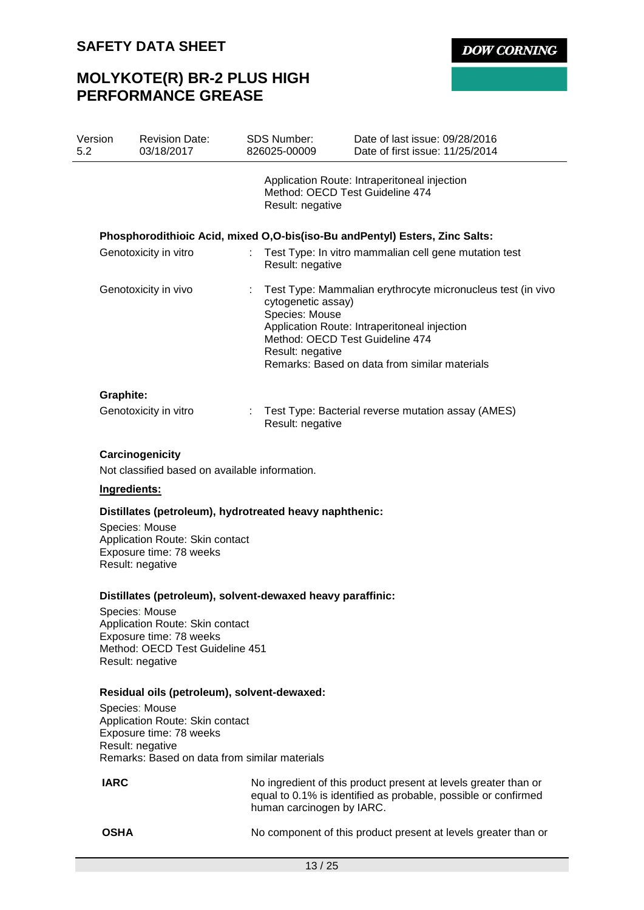# **MOLYKOTE(R) BR-2 PLUS HIGH PERFORMANCE GREASE**

| Version<br>5.2        | <b>Revision Date:</b><br>03/18/2017                               | <b>SDS Number:</b><br>826025-00009                       | Date of last issue: 09/28/2016<br>Date of first issue: 11/25/2014                                                                                                                               |  |  |  |
|-----------------------|-------------------------------------------------------------------|----------------------------------------------------------|-------------------------------------------------------------------------------------------------------------------------------------------------------------------------------------------------|--|--|--|
|                       |                                                                   |                                                          | Application Route: Intraperitoneal injection<br>Method: OECD Test Guideline 474<br>Result: negative                                                                                             |  |  |  |
|                       |                                                                   |                                                          | Phosphorodithioic Acid, mixed O,O-bis(iso-Bu and Pentyl) Esters, Zinc Salts:                                                                                                                    |  |  |  |
|                       | Genotoxicity in vitro                                             | t.<br>Result: negative                                   | Test Type: In vitro mammalian cell gene mutation test                                                                                                                                           |  |  |  |
|                       | Genotoxicity in vivo                                              | cytogenetic assay)<br>Species: Mouse<br>Result: negative | Test Type: Mammalian erythrocyte micronucleus test (in vivo<br>Application Route: Intraperitoneal injection<br>Method: OECD Test Guideline 474<br>Remarks: Based on data from similar materials |  |  |  |
| Graphite:             |                                                                   |                                                          |                                                                                                                                                                                                 |  |  |  |
| Genotoxicity in vitro |                                                                   | Result: negative                                         | Test Type: Bacterial reverse mutation assay (AMES)                                                                                                                                              |  |  |  |
|                       | Carcinogenicity<br>Not classified based on available information. |                                                          |                                                                                                                                                                                                 |  |  |  |

## **Ingredients:**

## **Distillates (petroleum), hydrotreated heavy naphthenic:**

Species: Mouse Application Route: Skin contact Exposure time: 78 weeks Result: negative

### **Distillates (petroleum), solvent-dewaxed heavy paraffinic:**

Species: Mouse Application Route: Skin contact Exposure time: 78 weeks Method: OECD Test Guideline 451 Result: negative

## **Residual oils (petroleum), solvent-dewaxed:**

Species: Mouse Application Route: Skin contact Exposure time: 78 weeks Result: negative Remarks: Based on data from similar materials

**IARC** No ingredient of this product present at levels greater than or equal to 0.1% is identified as probable, possible or confirmed human carcinogen by IARC.

**OSHA** No component of this product present at levels greater than or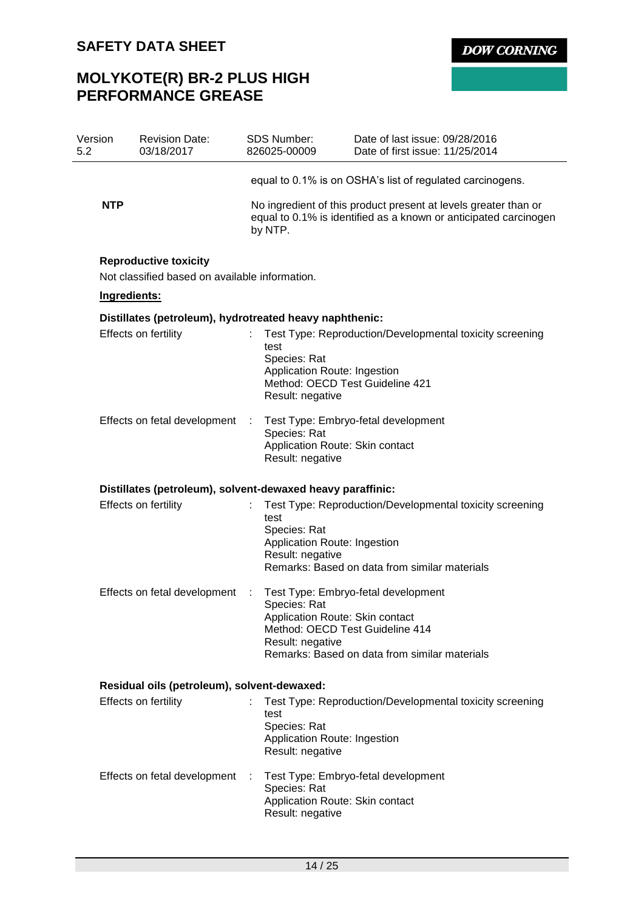# **MOLYKOTE(R) BR-2 PLUS HIGH PERFORMANCE GREASE**

| Version<br>5.2 | <b>Revision Date:</b><br>03/18/2017 |                                                                                                                                                                                                                      |                                                                                                             | Date of last issue: 09/28/2016<br>Date of first issue: 11/25/2014                                                                                                                                                                                                       |  |  |
|----------------|-------------------------------------|----------------------------------------------------------------------------------------------------------------------------------------------------------------------------------------------------------------------|-------------------------------------------------------------------------------------------------------------|-------------------------------------------------------------------------------------------------------------------------------------------------------------------------------------------------------------------------------------------------------------------------|--|--|
|                |                                     |                                                                                                                                                                                                                      |                                                                                                             | equal to 0.1% is on OSHA's list of regulated carcinogens.                                                                                                                                                                                                               |  |  |
| <b>NTP</b>     |                                     |                                                                                                                                                                                                                      |                                                                                                             | No ingredient of this product present at levels greater than or<br>equal to 0.1% is identified as a known or anticipated carcinogen                                                                                                                                     |  |  |
|                |                                     |                                                                                                                                                                                                                      |                                                                                                             |                                                                                                                                                                                                                                                                         |  |  |
|                |                                     |                                                                                                                                                                                                                      |                                                                                                             |                                                                                                                                                                                                                                                                         |  |  |
|                |                                     |                                                                                                                                                                                                                      |                                                                                                             |                                                                                                                                                                                                                                                                         |  |  |
|                |                                     |                                                                                                                                                                                                                      | test<br>Species: Rat<br>Application Route: Ingestion<br>Method: OECD Test Guideline 421<br>Result: negative | Test Type: Reproduction/Developmental toxicity screening                                                                                                                                                                                                                |  |  |
|                |                                     | ÷                                                                                                                                                                                                                    | Species: Rat<br>Application Route: Skin contact<br>Result: negative                                         | Test Type: Embryo-fetal development                                                                                                                                                                                                                                     |  |  |
|                |                                     |                                                                                                                                                                                                                      |                                                                                                             |                                                                                                                                                                                                                                                                         |  |  |
|                |                                     |                                                                                                                                                                                                                      | test<br>Species: Rat<br>Application Route: Ingestion<br>Result: negative                                    | Test Type: Reproduction/Developmental toxicity screening<br>Remarks: Based on data from similar materials                                                                                                                                                               |  |  |
|                |                                     | ÷                                                                                                                                                                                                                    | Species: Rat<br>Application Route: Skin contact<br>Method: OECD Test Guideline 414<br>Result: negative      | Test Type: Embryo-fetal development<br>Remarks: Based on data from similar materials                                                                                                                                                                                    |  |  |
|                |                                     |                                                                                                                                                                                                                      |                                                                                                             |                                                                                                                                                                                                                                                                         |  |  |
|                |                                     |                                                                                                                                                                                                                      | test<br>Species: Rat<br>Application Route: Ingestion<br>Result: negative                                    | Test Type: Reproduction/Developmental toxicity screening                                                                                                                                                                                                                |  |  |
|                |                                     | ÷                                                                                                                                                                                                                    | Species: Rat<br>Application Route: Skin contact<br>Result: negative                                         | Test Type: Embryo-fetal development                                                                                                                                                                                                                                     |  |  |
|                |                                     | <b>Reproductive toxicity</b><br>Ingredients:<br>Effects on fertility<br>Effects on fetal development<br>Effects on fertility<br>Effects on fetal development<br>Effects on fertility<br>Effects on fetal development |                                                                                                             | <b>SDS Number:</b><br>826025-00009<br>by NTP.<br>Not classified based on available information.<br>Distillates (petroleum), hydrotreated heavy naphthenic:<br>Distillates (petroleum), solvent-dewaxed heavy paraffinic:<br>Residual oils (petroleum), solvent-dewaxed: |  |  |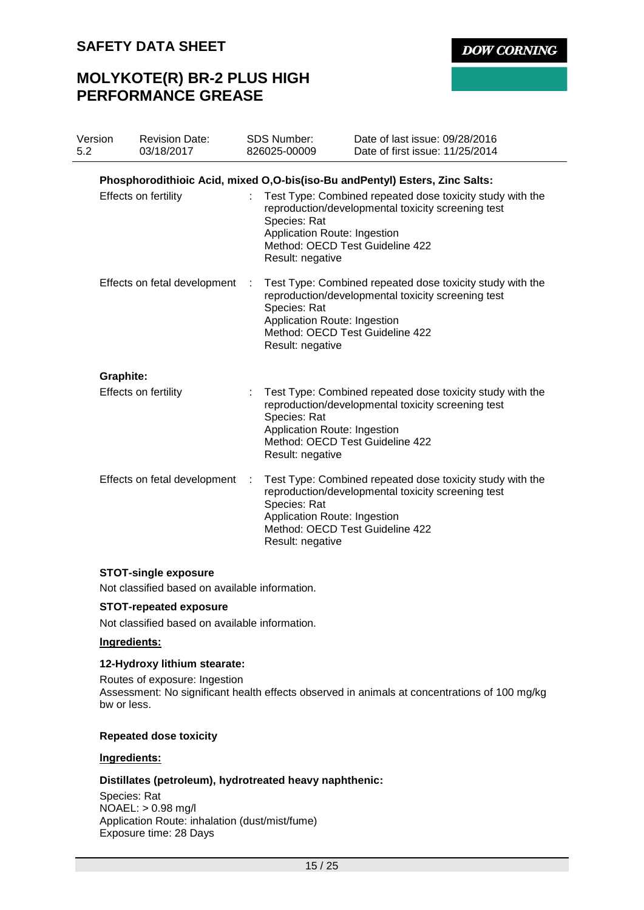# **MOLYKOTE(R) BR-2 PLUS HIGH PERFORMANCE GREASE**

| <b>DOW CORNING</b> |  |  |  |
|--------------------|--|--|--|
|                    |  |  |  |

| Version<br>5.2 |           | <b>Revision Date:</b><br>03/18/2017 |                           | SDS Number:<br>826025-00009                                      | Date of last issue: 09/28/2016<br>Date of first issue: 11/25/2014                                                                                  |
|----------------|-----------|-------------------------------------|---------------------------|------------------------------------------------------------------|----------------------------------------------------------------------------------------------------------------------------------------------------|
|                |           |                                     |                           |                                                                  | Phosphorodithioic Acid, mixed O,O-bis(iso-Bu and Pentyl) Esters, Zinc Salts:                                                                       |
|                |           | Effects on fertility                |                           | Species: Rat<br>Application Route: Ingestion<br>Result: negative | Test Type: Combined repeated dose toxicity study with the<br>reproduction/developmental toxicity screening test<br>Method: OECD Test Guideline 422 |
|                |           | Effects on fetal development        | ÷                         | Species: Rat<br>Application Route: Ingestion<br>Result: negative | Test Type: Combined repeated dose toxicity study with the<br>reproduction/developmental toxicity screening test<br>Method: OECD Test Guideline 422 |
|                | Graphite: |                                     |                           |                                                                  |                                                                                                                                                    |
|                |           | Effects on fertility                | $\mathbb{R}^{\mathbb{Z}}$ | Species: Rat<br>Application Route: Ingestion<br>Result: negative | Test Type: Combined repeated dose toxicity study with the<br>reproduction/developmental toxicity screening test<br>Method: OECD Test Guideline 422 |
|                |           | Effects on fetal development        |                           | Species: Rat<br>Application Route: Ingestion<br>Result: negative | Test Type: Combined repeated dose toxicity study with the<br>reproduction/developmental toxicity screening test<br>Method: OECD Test Guideline 422 |

## **STOT-single exposure**

Not classified based on available information.

## **STOT-repeated exposure**

Not classified based on available information.

## **Ingredients:**

## **12-Hydroxy lithium stearate:**

Routes of exposure: Ingestion Assessment: No significant health effects observed in animals at concentrations of 100 mg/kg bw or less.

## **Repeated dose toxicity**

## **Ingredients:**

## **Distillates (petroleum), hydrotreated heavy naphthenic:**

Species: Rat NOAEL: > 0.98 mg/l Application Route: inhalation (dust/mist/fume) Exposure time: 28 Days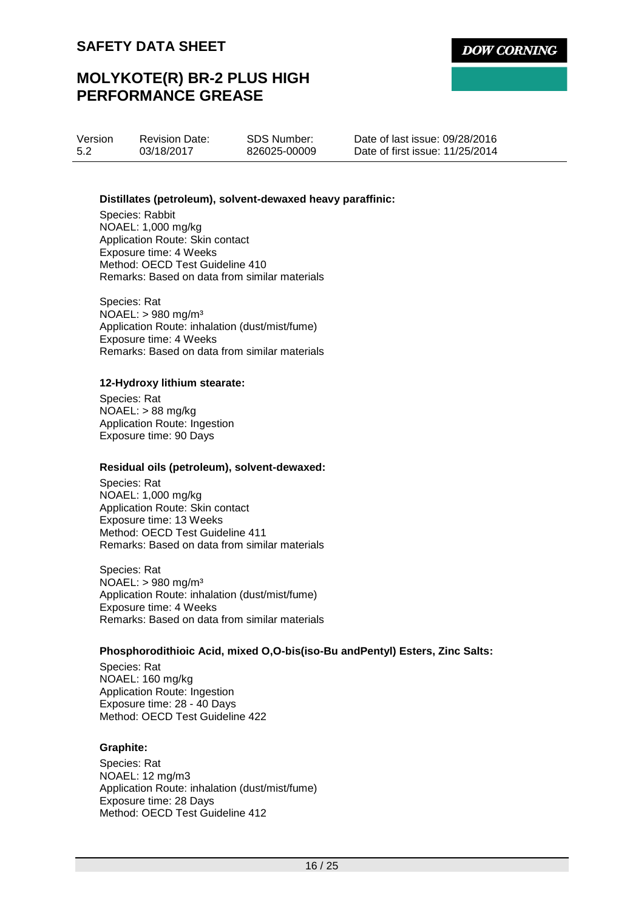# **MOLYKOTE(R) BR-2 PLUS HIGH PERFORMANCE GREASE**

Version 5.2 03/18/2017

Revision Date:

SDS Number: 826025-00009 Date of last issue: 09/28/2016 Date of first issue: 11/25/2014

## **Distillates (petroleum), solvent-dewaxed heavy paraffinic:**

Species: Rabbit NOAEL: 1,000 mg/kg Application Route: Skin contact Exposure time: 4 Weeks Method: OECD Test Guideline 410 Remarks: Based on data from similar materials

Species: Rat NOAEL: > 980 mg/m³ Application Route: inhalation (dust/mist/fume) Exposure time: 4 Weeks Remarks: Based on data from similar materials

## **12-Hydroxy lithium stearate:**

Species: Rat NOAEL: > 88 mg/kg Application Route: Ingestion Exposure time: 90 Days

## **Residual oils (petroleum), solvent-dewaxed:**

Species: Rat NOAEL: 1,000 mg/kg Application Route: Skin contact Exposure time: 13 Weeks Method: OECD Test Guideline 411 Remarks: Based on data from similar materials

Species: Rat NOAEL: > 980 mg/m³ Application Route: inhalation (dust/mist/fume) Exposure time: 4 Weeks Remarks: Based on data from similar materials

## **Phosphorodithioic Acid, mixed O,O-bis(iso-Bu andPentyl) Esters, Zinc Salts:**

Species: Rat NOAEL: 160 mg/kg Application Route: Ingestion Exposure time: 28 - 40 Days Method: OECD Test Guideline 422

## **Graphite:**

Species: Rat NOAEL: 12 mg/m3 Application Route: inhalation (dust/mist/fume) Exposure time: 28 Days Method: OECD Test Guideline 412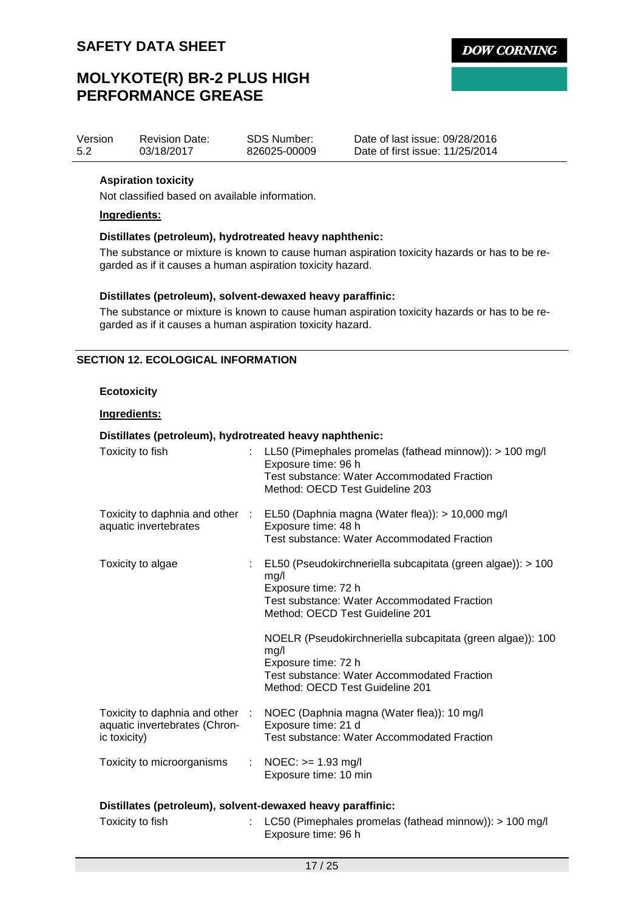# **MOLYKOTE(R) BR-2 PLUS HIGH PERFORMANCE GREASE**

| Version | <b>Revision Date:</b> | <b>SDS Number:</b> | Date of |
|---------|-----------------------|--------------------|---------|
| 5.2     | 03/18/2017            | 826025-00009       | Date of |

last issue: 09/28/2016 first issue: 11/25/2014

## **Aspiration toxicity**

Not classified based on available information.

## **Ingredients:**

## **Distillates (petroleum), hydrotreated heavy naphthenic:**

The substance or mixture is known to cause human aspiration toxicity hazards or has to be regarded as if it causes a human aspiration toxicity hazard.

## **Distillates (petroleum), solvent-dewaxed heavy paraffinic:**

The substance or mixture is known to cause human aspiration toxicity hazards or has to be regarded as if it causes a human aspiration toxicity hazard.

## **SECTION 12. ECOLOGICAL INFORMATION**

## **Ecotoxicity**

## **Ingredients:**

## **Distillates (petroleum), hydrotreated heavy naphthenic:**

| Toxicity to fish                                                                 |  | : LL50 (Pimephales promelas (fathead minnow)): > 100 mg/l<br>Exposure time: 96 h<br><b>Test substance: Water Accommodated Fraction</b><br>Method: OECD Test Guideline 203          |  |  |  |  |
|----------------------------------------------------------------------------------|--|------------------------------------------------------------------------------------------------------------------------------------------------------------------------------------|--|--|--|--|
| aquatic invertebrates                                                            |  | Toxicity to daphnia and other : EL50 (Daphnia magna (Water flea)): > 10,000 mg/l<br>Exposure time: 48 h<br><b>Test substance: Water Accommodated Fraction</b>                      |  |  |  |  |
| Toxicity to algae                                                                |  | : EL50 (Pseudokirchneriella subcapitata (green algae)): > 100<br>mg/l<br>Exposure time: 72 h<br>Test substance: Water Accommodated Fraction<br>Method: OECD Test Guideline 201     |  |  |  |  |
|                                                                                  |  | NOELR (Pseudokirchneriella subcapitata (green algae)): 100<br>mg/l<br>Exposure time: 72 h<br><b>Test substance: Water Accommodated Fraction</b><br>Method: OECD Test Guideline 201 |  |  |  |  |
| Toxicity to daphnia and other :<br>aquatic invertebrates (Chron-<br>ic toxicity) |  | NOEC (Daphnia magna (Water flea)): 10 mg/l<br>Exposure time: 21 d<br>Test substance: Water Accommodated Fraction                                                                   |  |  |  |  |
| Toxicity to microorganisms                                                       |  | : NOEC: $> = 1.93$ mg/l<br>Exposure time: 10 min                                                                                                                                   |  |  |  |  |
| Distillates (petroleum), solvent-dewaxed heavy paraffinic:                       |  |                                                                                                                                                                                    |  |  |  |  |

| Toxicity to fish | : LC50 (Pimephales promelas (fathead minnow)): $> 100$ mg/l |
|------------------|-------------------------------------------------------------|
|                  | Exposure time: 96 h                                         |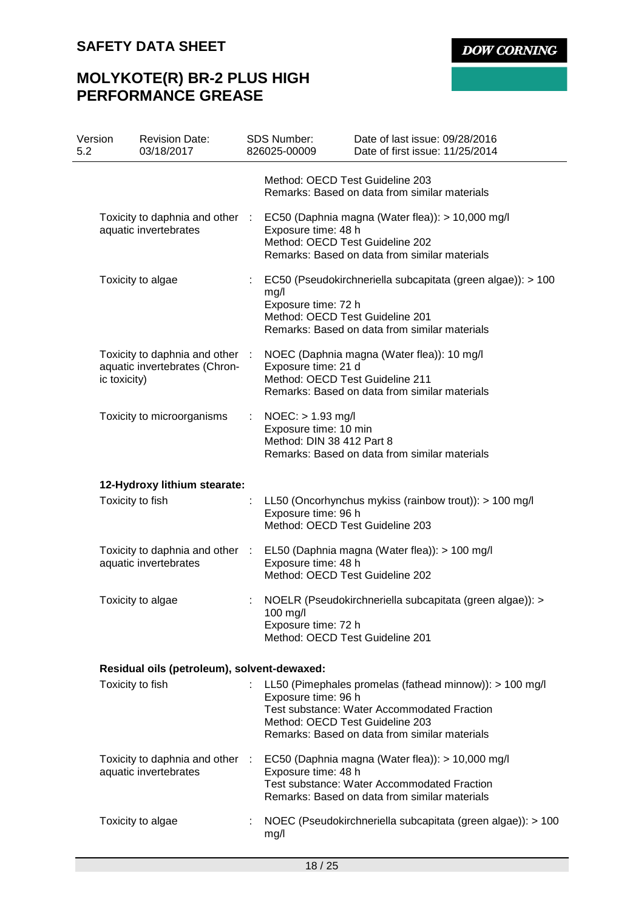# **MOLYKOTE(R) BR-2 PLUS HIGH PERFORMANCE GREASE**

| Version<br>5.2 |                                                          | <b>Revision Date:</b><br>03/18/2017                              |   | <b>SDS Number:</b><br>826025-00009                                                                               | Date of last issue: 09/28/2016<br>Date of first issue: 11/25/2014                                                                                                |  |
|----------------|----------------------------------------------------------|------------------------------------------------------------------|---|------------------------------------------------------------------------------------------------------------------|------------------------------------------------------------------------------------------------------------------------------------------------------------------|--|
|                |                                                          |                                                                  |   | Method: OECD Test Guideline 203                                                                                  | Remarks: Based on data from similar materials                                                                                                                    |  |
|                |                                                          | Toxicity to daphnia and other :<br>aquatic invertebrates         |   | Exposure time: 48 h<br>Method: OECD Test Guideline 202                                                           | EC50 (Daphnia magna (Water flea)): > 10,000 mg/l<br>Remarks: Based on data from similar materials                                                                |  |
|                |                                                          | Toxicity to algae                                                |   | mg/l<br>Exposure time: 72 h<br>Method: OECD Test Guideline 201                                                   | EC50 (Pseudokirchneriella subcapitata (green algae)): > 100<br>Remarks: Based on data from similar materials                                                     |  |
|                | ic toxicity)                                             | Toxicity to daphnia and other :<br>aquatic invertebrates (Chron- |   | Exposure time: 21 d<br>Method: OECD Test Guideline 211                                                           | NOEC (Daphnia magna (Water flea)): 10 mg/l<br>Remarks: Based on data from similar materials                                                                      |  |
|                |                                                          | Toxicity to microorganisms                                       | ÷ | $NOEC:$ > 1.93 mg/l<br>Exposure time: 10 min<br>Method: DIN 38 412 Part 8                                        | Remarks: Based on data from similar materials                                                                                                                    |  |
|                |                                                          |                                                                  |   |                                                                                                                  |                                                                                                                                                                  |  |
|                | 12-Hydroxy lithium stearate:<br>Toxicity to fish         |                                                                  |   | LL50 (Oncorhynchus mykiss (rainbow trout)): > 100 mg/l<br>Exposure time: 96 h<br>Method: OECD Test Guideline 203 |                                                                                                                                                                  |  |
|                | Toxicity to daphnia and other :<br>aquatic invertebrates |                                                                  |   | Exposure time: 48 h<br>Method: OECD Test Guideline 202                                                           | EL50 (Daphnia magna (Water flea)): > 100 mg/l                                                                                                                    |  |
|                |                                                          | Toxicity to algae                                                |   | 100 mg/l<br>Exposure time: 72 h<br>Method: OECD Test Guideline 201                                               | NOELR (Pseudokirchneriella subcapitata (green algae)): >                                                                                                         |  |
|                | Residual oils (petroleum), solvent-dewaxed:              |                                                                  |   |                                                                                                                  |                                                                                                                                                                  |  |
|                | Toxicity to fish                                         |                                                                  |   | Exposure time: 96 h<br>Method: OECD Test Guideline 203                                                           | : LL50 (Pimephales promelas (fathead minnow)): > 100 mg/l<br><b>Test substance: Water Accommodated Fraction</b><br>Remarks: Based on data from similar materials |  |
|                |                                                          | Toxicity to daphnia and other :<br>aquatic invertebrates         |   | Exposure time: 48 h                                                                                              | EC50 (Daphnia magna (Water flea)): > 10,000 mg/l<br>Test substance: Water Accommodated Fraction<br>Remarks: Based on data from similar materials                 |  |
|                |                                                          | Toxicity to algae                                                |   | mg/l                                                                                                             | NOEC (Pseudokirchneriella subcapitata (green algae)): > 100                                                                                                      |  |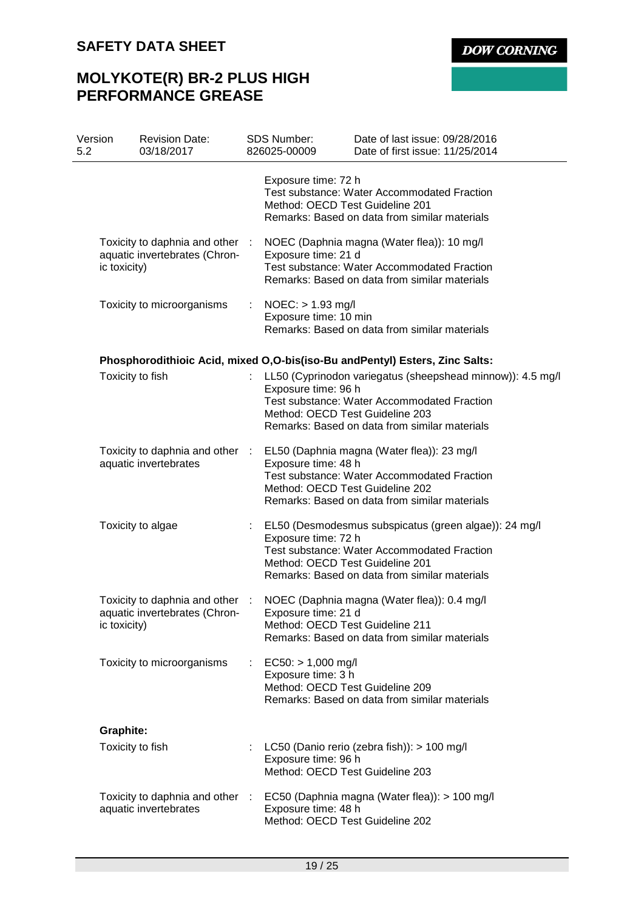# **MOLYKOTE(R) BR-2 PLUS HIGH PERFORMANCE GREASE**

| Version<br>5.2 |                  | <b>Revision Date:</b><br>03/18/2017                              |    | <b>SDS Number:</b><br>826025-00009                                            | Date of last issue: 09/28/2016<br>Date of first issue: 11/25/2014                                                                                                 |
|----------------|------------------|------------------------------------------------------------------|----|-------------------------------------------------------------------------------|-------------------------------------------------------------------------------------------------------------------------------------------------------------------|
|                |                  |                                                                  |    | Exposure time: 72 h<br>Method: OECD Test Guideline 201                        | <b>Test substance: Water Accommodated Fraction</b><br>Remarks: Based on data from similar materials                                                               |
|                | ic toxicity)     | Toxicity to daphnia and other :<br>aquatic invertebrates (Chron- |    | Exposure time: 21 d                                                           | NOEC (Daphnia magna (Water flea)): 10 mg/l<br>Test substance: Water Accommodated Fraction<br>Remarks: Based on data from similar materials                        |
|                |                  | Toxicity to microorganisms                                       | ÷. | $NOEC:$ > 1.93 mg/l<br>Exposure time: 10 min                                  | Remarks: Based on data from similar materials                                                                                                                     |
|                |                  |                                                                  |    |                                                                               | Phosphorodithioic Acid, mixed O, O-bis(iso-Bu and Pentyl) Esters, Zinc Salts:                                                                                     |
|                | Toxicity to fish |                                                                  |    | Exposure time: 96 h<br>Method: OECD Test Guideline 203                        | LL50 (Cyprinodon variegatus (sheepshead minnow)): 4.5 mg/l<br><b>Test substance: Water Accommodated Fraction</b><br>Remarks: Based on data from similar materials |
|                |                  | Toxicity to daphnia and other :<br>aquatic invertebrates         |    | Exposure time: 48 h<br>Method: OECD Test Guideline 202                        | EL50 (Daphnia magna (Water flea)): 23 mg/l<br>Test substance: Water Accommodated Fraction<br>Remarks: Based on data from similar materials                        |
|                |                  | Toxicity to algae                                                | t. | Exposure time: 72 h<br>Method: OECD Test Guideline 201                        | EL50 (Desmodesmus subspicatus (green algae)): 24 mg/l<br>Test substance: Water Accommodated Fraction<br>Remarks: Based on data from similar materials             |
|                | ic toxicity)     | Toxicity to daphnia and other :<br>aquatic invertebrates (Chron- |    | Exposure time: 21 d<br>Method: OECD Test Guideline 211                        | NOEC (Daphnia magna (Water flea)): 0.4 mg/l<br>Remarks: Based on data from similar materials                                                                      |
|                |                  | Toxicity to microorganisms                                       | t. | $EC50: > 1,000$ mg/l<br>Exposure time: 3 h<br>Method: OECD Test Guideline 209 | Remarks: Based on data from similar materials                                                                                                                     |
|                | <b>Graphite:</b> |                                                                  |    |                                                                               |                                                                                                                                                                   |
|                | Toxicity to fish |                                                                  | ÷. | Exposure time: 96 h<br>Method: OECD Test Guideline 203                        | LC50 (Danio rerio (zebra fish)): > 100 mg/l                                                                                                                       |
|                |                  | aquatic invertebrates                                            |    | Exposure time: 48 h<br>Method: OECD Test Guideline 202                        | Toxicity to daphnia and other : EC50 (Daphnia magna (Water flea)): > 100 mg/l                                                                                     |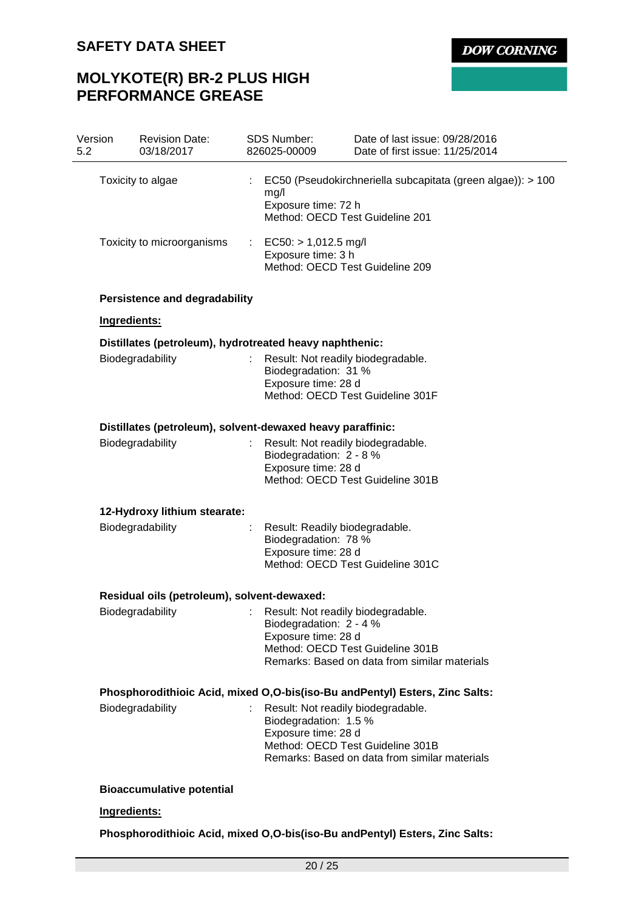**DOW CORNING** 

# **MOLYKOTE(R) BR-2 PLUS HIGH PERFORMANCE GREASE**

| 5.2 | Version                                                    | <b>Revision Date:</b><br>03/18/2017                     |  | <b>SDS Number:</b><br>826025-00009                                                                                       | Date of last issue: 09/28/2016<br>Date of first issue: 11/25/2014                 |  |
|-----|------------------------------------------------------------|---------------------------------------------------------|--|--------------------------------------------------------------------------------------------------------------------------|-----------------------------------------------------------------------------------|--|
|     | Toxicity to algae                                          |                                                         |  | mg/l<br>Exposure time: 72 h<br>Method: OECD Test Guideline 201                                                           | EC50 (Pseudokirchneriella subcapitata (green algae)): > 100                       |  |
|     | Toxicity to microorganisms                                 |                                                         |  | $EC50:$ > 1,012.5 mg/l<br>Exposure time: 3 h<br>Method: OECD Test Guideline 209                                          |                                                                                   |  |
|     |                                                            | <b>Persistence and degradability</b>                    |  |                                                                                                                          |                                                                                   |  |
|     | Ingredients:                                               |                                                         |  |                                                                                                                          |                                                                                   |  |
|     |                                                            | Distillates (petroleum), hydrotreated heavy naphthenic: |  |                                                                                                                          |                                                                                   |  |
|     |                                                            | Biodegradability                                        |  | Result: Not readily biodegradable.<br>Biodegradation: 31 %<br>Exposure time: 28 d                                        | Method: OECD Test Guideline 301F                                                  |  |
|     | Distillates (petroleum), solvent-dewaxed heavy paraffinic: |                                                         |  |                                                                                                                          |                                                                                   |  |
|     | Biodegradability                                           |                                                         |  | Result: Not readily biodegradable.<br>Biodegradation: 2 - 8 %<br>Exposure time: 28 d<br>Method: OECD Test Guideline 301B |                                                                                   |  |
|     | 12-Hydroxy lithium stearate:                               |                                                         |  |                                                                                                                          |                                                                                   |  |
|     | Biodegradability                                           |                                                         |  | Result: Readily biodegradable.<br>Biodegradation: 78 %<br>Exposure time: 28 d<br>Method: OECD Test Guideline 301C        |                                                                                   |  |
|     | Residual oils (petroleum), solvent-dewaxed:                |                                                         |  |                                                                                                                          |                                                                                   |  |
|     |                                                            | Biodegradability                                        |  | Result: Not readily biodegradable.<br>Biodegradation: 2 - 4 %<br>Exposure time: 28 d                                     | Method: OECD Test Guideline 301B<br>Remarks: Based on data from similar materials |  |
|     |                                                            |                                                         |  |                                                                                                                          | Phosphorodithioic Acid, mixed O, O-bis(iso-Bu and Pentyl) Esters, Zinc Salts:     |  |
|     |                                                            | Biodegradability                                        |  | Result: Not readily biodegradable.<br>Biodegradation: 1.5 %<br>Exposure time: 28 d                                       | Method: OECD Test Guideline 301B<br>Remarks: Based on data from similar materials |  |
|     |                                                            | <b>Bioaccumulative potential</b>                        |  |                                                                                                                          |                                                                                   |  |
|     | Ingredients:                                               |                                                         |  |                                                                                                                          |                                                                                   |  |
|     |                                                            |                                                         |  |                                                                                                                          | Phosphorodithioic Acid, mixed O, O-bis(iso-Bu and Pentyl) Esters, Zinc Salts:     |  |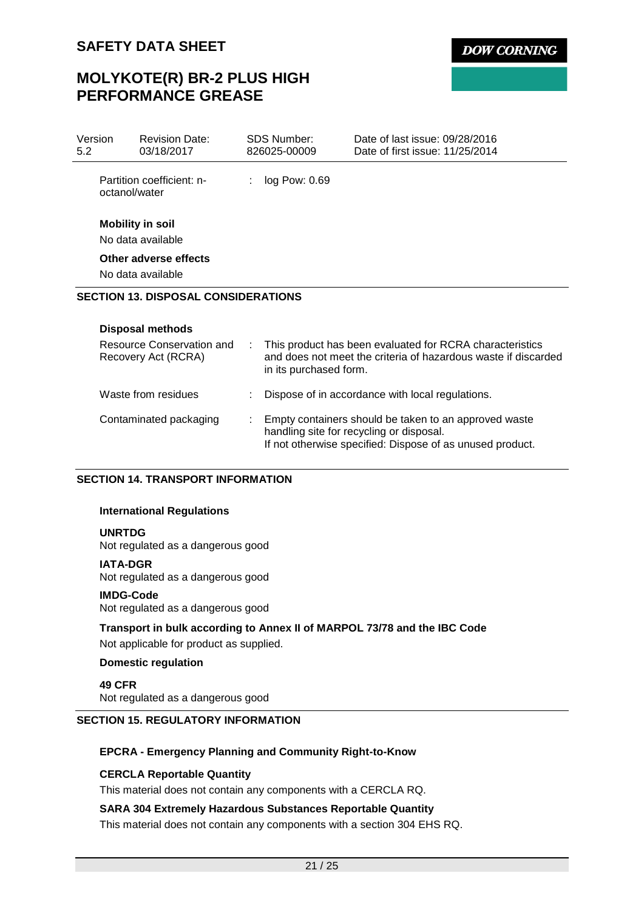# **MOLYKOTE(R) BR-2 PLUS HIGH PERFORMANCE GREASE**

| Version<br>5.2 | <b>Revision Date:</b><br>03/18/2017              | SDS Number:<br>826025-00009 | Date of last issue: 09/28/2016<br>Date of first issue: 11/25/2014                                                          |
|----------------|--------------------------------------------------|-----------------------------|----------------------------------------------------------------------------------------------------------------------------|
|                | Partition coefficient: n-<br>octanol/water       | log Pow: 0.69               |                                                                                                                            |
|                | <b>Mobility in soil</b>                          |                             |                                                                                                                            |
|                | No data available                                |                             |                                                                                                                            |
|                | Other adverse effects                            |                             |                                                                                                                            |
|                | No data available                                |                             |                                                                                                                            |
|                | <b>SECTION 13. DISPOSAL CONSIDERATIONS</b>       |                             |                                                                                                                            |
|                | <b>Disposal methods</b>                          |                             |                                                                                                                            |
|                | Resource Conservation and<br>Recovery Act (RCRA) |                             | This product has been evaluated for RCRA characteristics<br>and does not meet the criteria of hazardous waste if discarded |

|                        | in its purchased form.                                                                                                                                           |
|------------------------|------------------------------------------------------------------------------------------------------------------------------------------------------------------|
| Waste from residues    | : Dispose of in accordance with local regulations.                                                                                                               |
| Contaminated packaging | : Empty containers should be taken to an approved waste<br>handling site for recycling or disposal.<br>If not otherwise specified: Dispose of as unused product. |

## **SECTION 14. TRANSPORT INFORMATION**

## **International Regulations**

## **UNRTDG**

Not regulated as a dangerous good

## **IATA-DGR**

Not regulated as a dangerous good

### **IMDG-Code**

Not regulated as a dangerous good

## **Transport in bulk according to Annex II of MARPOL 73/78 and the IBC Code** Not applicable for product as supplied.

## **Domestic regulation**

**49 CFR** Not regulated as a dangerous good

## **SECTION 15. REGULATORY INFORMATION**

## **EPCRA - Emergency Planning and Community Right-to-Know**

## **CERCLA Reportable Quantity**

This material does not contain any components with a CERCLA RQ.

## **SARA 304 Extremely Hazardous Substances Reportable Quantity**

This material does not contain any components with a section 304 EHS RQ.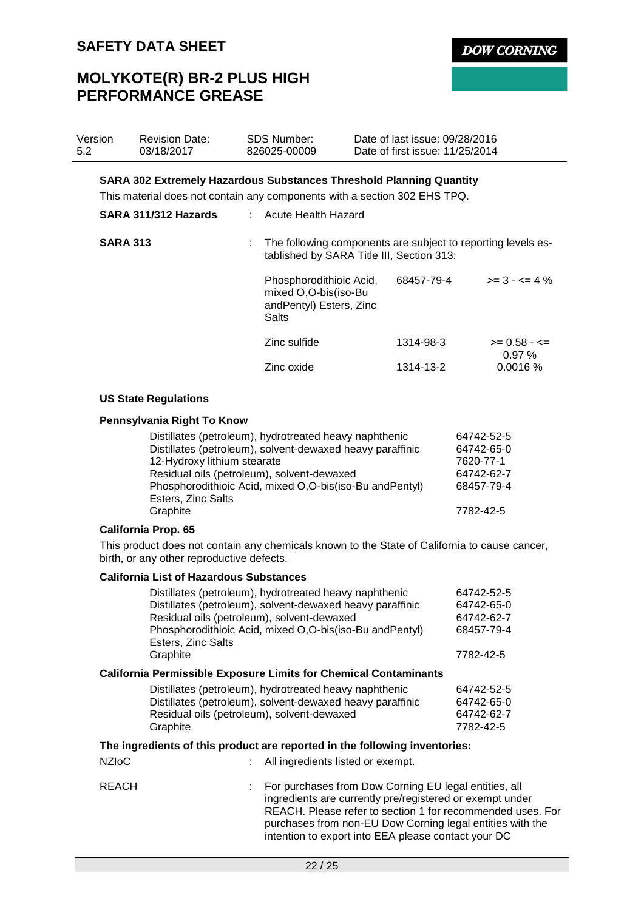# **MOLYKOTE(R) BR-2 PLUS HIGH PERFORMANCE GREASE**

68457-79-4

Graphite 7782-42-5

| Version<br>5.2 |                                                                                                                                                                                                                                                         | <b>Revision Date:</b><br>03/18/2017                                                                                                                                             | <b>SDS Number:</b><br>826025-00009                                                  | Date of last issue: 09/28/2016<br>Date of first issue: 11/25/2014                                         |                             |  |  |
|----------------|---------------------------------------------------------------------------------------------------------------------------------------------------------------------------------------------------------------------------------------------------------|---------------------------------------------------------------------------------------------------------------------------------------------------------------------------------|-------------------------------------------------------------------------------------|-----------------------------------------------------------------------------------------------------------|-----------------------------|--|--|
|                |                                                                                                                                                                                                                                                         | <b>SARA 302 Extremely Hazardous Substances Threshold Planning Quantity</b><br>This material does not contain any components with a section 302 EHS TPQ.<br>SARA 311/312 Hazards | : Acute Health Hazard                                                               |                                                                                                           |                             |  |  |
|                | <b>SARA 313</b>                                                                                                                                                                                                                                         |                                                                                                                                                                                 |                                                                                     | The following components are subject to reporting levels es-<br>tablished by SARA Title III, Section 313: |                             |  |  |
|                |                                                                                                                                                                                                                                                         |                                                                                                                                                                                 | Phosphorodithioic Acid,<br>mixed O,O-bis(iso-Bu<br>andPentyl) Esters, Zinc<br>Salts | 68457-79-4                                                                                                | $>= 3 - 5 = 4\%$            |  |  |
|                |                                                                                                                                                                                                                                                         |                                                                                                                                                                                 | Zinc sulfide                                                                        | 1314-98-3                                                                                                 | $>= 0.58 - \le$<br>$0.97\%$ |  |  |
|                |                                                                                                                                                                                                                                                         |                                                                                                                                                                                 | Zinc oxide                                                                          | 1314-13-2                                                                                                 | 0.0016%                     |  |  |
|                |                                                                                                                                                                                                                                                         | <b>US State Regulations</b>                                                                                                                                                     |                                                                                     |                                                                                                           |                             |  |  |
|                |                                                                                                                                                                                                                                                         | Pennsylvania Right To Know                                                                                                                                                      |                                                                                     |                                                                                                           |                             |  |  |
|                | Distillates (petroleum), hydrotreated heavy naphthenic<br>64742-52-5<br>Distillates (petroleum), solvent-dewaxed heavy paraffinic<br>64742-65-0<br>12-Hydroxy lithium stearate<br>7620-77-1<br>Residual oils (petroleum), solvent-dewaxed<br>64742-62-7 |                                                                                                                                                                                 |                                                                                     |                                                                                                           |                             |  |  |

| Graphite                   |  |
|----------------------------|--|
| <b>California Prop. 65</b> |  |

Esters, Zinc Salts

This product does not contain any chemicals known to the State of California to cause cancer, birth, or any other reproductive defects.

Phosphorodithioic Acid, mixed O,O-bis(iso-Bu andPentyl)

## **California List of Hazardous Substances**

|              | Residual oils (petroleum), solvent-dewaxed<br>Esters, Zinc Salts<br>Graphite                                                                                                  | Distillates (petroleum), hydrotreated heavy naphthenic<br>Distillates (petroleum), solvent-dewaxed heavy paraffinic<br>Phosphorodithioic Acid, mixed O,O-bis(iso-Bu and Pentyl)                                                                                                                     | 64742-52-5<br>64742-65-0<br>64742-62-7<br>68457-79-4<br>7782-42-5 |
|--------------|-------------------------------------------------------------------------------------------------------------------------------------------------------------------------------|-----------------------------------------------------------------------------------------------------------------------------------------------------------------------------------------------------------------------------------------------------------------------------------------------------|-------------------------------------------------------------------|
|              |                                                                                                                                                                               | <b>California Permissible Exposure Limits for Chemical Contaminants</b>                                                                                                                                                                                                                             |                                                                   |
|              | Distillates (petroleum), hydrotreated heavy naphthenic<br>Distillates (petroleum), solvent-dewaxed heavy paraffinic<br>Residual oils (petroleum), solvent-dewaxed<br>Graphite |                                                                                                                                                                                                                                                                                                     | 64742-52-5<br>64742-65-0<br>64742-62-7<br>7782-42-5               |
|              |                                                                                                                                                                               | The ingredients of this product are reported in the following inventories:                                                                                                                                                                                                                          |                                                                   |
| <b>NZIoC</b> |                                                                                                                                                                               | : All ingredients listed or exempt.                                                                                                                                                                                                                                                                 |                                                                   |
| REACH        |                                                                                                                                                                               | For purchases from Dow Corning EU legal entities, all<br>ingredients are currently pre/registered or exempt under<br>REACH. Please refer to section 1 for recommended uses. For<br>purchases from non-EU Dow Corning legal entities with the<br>intention to export into EEA please contact your DC |                                                                   |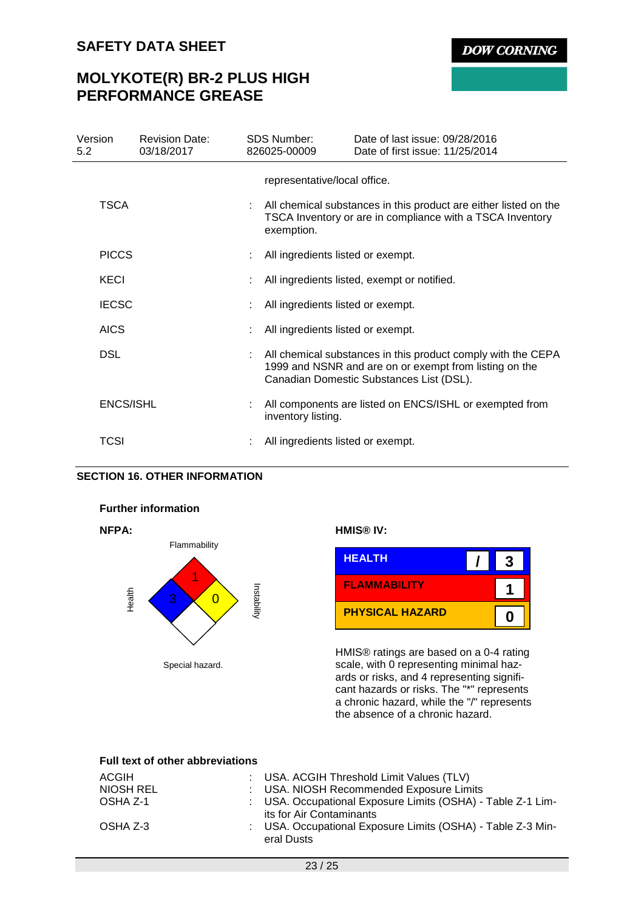# **MOLYKOTE(R) BR-2 PLUS HIGH PERFORMANCE GREASE**

| Version<br>5.2   | <b>Revision Date:</b><br>03/18/2017 | <b>SDS Number:</b><br>826025-00009 | Date of last issue: 09/28/2016<br>Date of first issue: 11/25/2014                                                                                                  |
|------------------|-------------------------------------|------------------------------------|--------------------------------------------------------------------------------------------------------------------------------------------------------------------|
|                  |                                     | representative/local office.       |                                                                                                                                                                    |
| TSCA             |                                     | exemption.                         | All chemical substances in this product are either listed on the<br>TSCA Inventory or are in compliance with a TSCA Inventory                                      |
| <b>PICCS</b>     |                                     | All ingredients listed or exempt.  |                                                                                                                                                                    |
| KECI             |                                     |                                    | All ingredients listed, exempt or notified.                                                                                                                        |
| <b>IECSC</b>     |                                     | All ingredients listed or exempt.  |                                                                                                                                                                    |
| <b>AICS</b>      |                                     | All ingredients listed or exempt.  |                                                                                                                                                                    |
| <b>DSL</b>       |                                     |                                    | All chemical substances in this product comply with the CEPA<br>1999 and NSNR and are on or exempt from listing on the<br>Canadian Domestic Substances List (DSL). |
| <b>ENCS/ISHL</b> |                                     | inventory listing.                 | All components are listed on ENCS/ISHL or exempted from                                                                                                            |
| TCSI             |                                     | All ingredients listed or exempt.  |                                                                                                                                                                    |

## **SECTION 16. OTHER INFORMATION**

## **Further information**





## **NFPA: HMIS® IV:**



HMIS® ratings are based on a 0-4 rating scale, with 0 representing minimal hazards or risks, and 4 representing significant hazards or risks. The "\*" represents a chronic hazard, while the "/" represents the absence of a chronic hazard.

## **Full text of other abbreviations**

| ACGIH     | : USA. ACGIH Threshold Limit Values (TLV)                                               |
|-----------|-----------------------------------------------------------------------------------------|
| NIOSH REL | : USA. NIOSH Recommended Exposure Limits                                                |
| OSHA Z-1  | : USA. Occupational Exposure Limits (OSHA) - Table Z-1 Lim-<br>its for Air Contaminants |
| OSHA Z-3  | : USA. Occupational Exposure Limits (OSHA) - Table Z-3 Min-<br>eral Dusts               |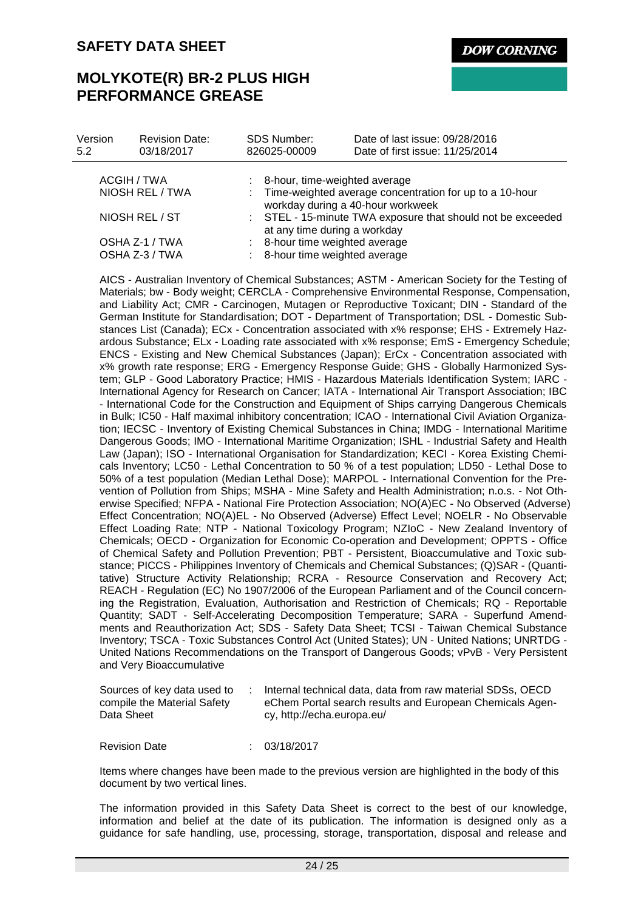**DOW CORNING** 

# **MOLYKOTE(R) BR-2 PLUS HIGH PERFORMANCE GREASE**

| Version<br>5.2                   | <b>Revision Date:</b><br>03/18/2017 | <b>SDS Number:</b><br>826025-00009                               | Date of last issue: 09/28/2016<br>Date of first issue: 11/25/2014                                                                 |  |
|----------------------------------|-------------------------------------|------------------------------------------------------------------|-----------------------------------------------------------------------------------------------------------------------------------|--|
|                                  |                                     |                                                                  |                                                                                                                                   |  |
|                                  | ACGIH / TWA<br>NIOSH REL / TWA      |                                                                  | : 8-hour, time-weighted average<br>: Time-weighted average concentration for up to a 10-hour<br>workday during a 40-hour workweek |  |
| NIOSH REL / ST                   |                                     |                                                                  | : STEL - 15-minute TWA exposure that should not be exceeded<br>at any time during a workday                                       |  |
| OSHA Z-1 / TWA<br>OSHA Z-3 / TWA |                                     | : 8-hour time weighted average<br>: 8-hour time weighted average |                                                                                                                                   |  |

AICS - Australian Inventory of Chemical Substances; ASTM - American Society for the Testing of Materials; bw - Body weight; CERCLA - Comprehensive Environmental Response, Compensation, and Liability Act; CMR - Carcinogen, Mutagen or Reproductive Toxicant; DIN - Standard of the German Institute for Standardisation; DOT - Department of Transportation; DSL - Domestic Substances List (Canada); ECx - Concentration associated with x% response; EHS - Extremely Hazardous Substance; ELx - Loading rate associated with x% response; EmS - Emergency Schedule; ENCS - Existing and New Chemical Substances (Japan); ErCx - Concentration associated with x% growth rate response; ERG - Emergency Response Guide; GHS - Globally Harmonized System; GLP - Good Laboratory Practice; HMIS - Hazardous Materials Identification System; IARC - International Agency for Research on Cancer; IATA - International Air Transport Association; IBC - International Code for the Construction and Equipment of Ships carrying Dangerous Chemicals in Bulk; IC50 - Half maximal inhibitory concentration; ICAO - International Civil Aviation Organization; IECSC - Inventory of Existing Chemical Substances in China; IMDG - International Maritime Dangerous Goods; IMO - International Maritime Organization; ISHL - Industrial Safety and Health Law (Japan); ISO - International Organisation for Standardization; KECI - Korea Existing Chemicals Inventory; LC50 - Lethal Concentration to 50 % of a test population; LD50 - Lethal Dose to 50% of a test population (Median Lethal Dose); MARPOL - International Convention for the Prevention of Pollution from Ships; MSHA - Mine Safety and Health Administration; n.o.s. - Not Otherwise Specified; NFPA - National Fire Protection Association; NO(A)EC - No Observed (Adverse) Effect Concentration; NO(A)EL - No Observed (Adverse) Effect Level; NOELR - No Observable Effect Loading Rate; NTP - National Toxicology Program; NZIoC - New Zealand Inventory of Chemicals; OECD - Organization for Economic Co-operation and Development; OPPTS - Office of Chemical Safety and Pollution Prevention; PBT - Persistent, Bioaccumulative and Toxic substance; PICCS - Philippines Inventory of Chemicals and Chemical Substances; (Q)SAR - (Quantitative) Structure Activity Relationship; RCRA - Resource Conservation and Recovery Act; REACH - Regulation (EC) No 1907/2006 of the European Parliament and of the Council concerning the Registration, Evaluation, Authorisation and Restriction of Chemicals; RQ - Reportable Quantity; SADT - Self-Accelerating Decomposition Temperature; SARA - Superfund Amendments and Reauthorization Act; SDS - Safety Data Sheet; TCSI - Taiwan Chemical Substance Inventory; TSCA - Toxic Substances Control Act (United States); UN - United Nations; UNRTDG - United Nations Recommendations on the Transport of Dangerous Goods; vPvB - Very Persistent and Very Bioaccumulative

| Sources of key data used to | Internal technical data, data from raw material SDSs, OECD |
|-----------------------------|------------------------------------------------------------|
| compile the Material Safety | eChem Portal search results and European Chemicals Agen-   |
| Data Sheet                  | cy, http://echa.europa.eu/                                 |

Revision Date : 03/18/2017

Items where changes have been made to the previous version are highlighted in the body of this document by two vertical lines.

The information provided in this Safety Data Sheet is correct to the best of our knowledge, information and belief at the date of its publication. The information is designed only as a guidance for safe handling, use, processing, storage, transportation, disposal and release and